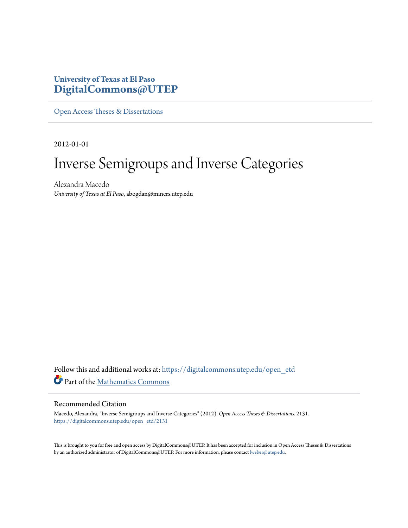# **University of Texas at El Paso [DigitalCommons@UTEP](https://digitalcommons.utep.edu/?utm_source=digitalcommons.utep.edu%2Fopen_etd%2F2131&utm_medium=PDF&utm_campaign=PDFCoverPages)**

[Open Access Theses & Dissertations](https://digitalcommons.utep.edu/open_etd?utm_source=digitalcommons.utep.edu%2Fopen_etd%2F2131&utm_medium=PDF&utm_campaign=PDFCoverPages)

2012-01-01

# Inverse Semigroups and Inverse Categories

Alexandra Macedo *University of Texas at El Paso*, abogdan@miners.utep.edu

Follow this and additional works at: [https://digitalcommons.utep.edu/open\\_etd](https://digitalcommons.utep.edu/open_etd?utm_source=digitalcommons.utep.edu%2Fopen_etd%2F2131&utm_medium=PDF&utm_campaign=PDFCoverPages) Part of the [Mathematics Commons](http://network.bepress.com/hgg/discipline/174?utm_source=digitalcommons.utep.edu%2Fopen_etd%2F2131&utm_medium=PDF&utm_campaign=PDFCoverPages)

#### Recommended Citation

Macedo, Alexandra, "Inverse Semigroups and Inverse Categories" (2012). *Open Access Theses & Dissertations*. 2131. [https://digitalcommons.utep.edu/open\\_etd/2131](https://digitalcommons.utep.edu/open_etd/2131?utm_source=digitalcommons.utep.edu%2Fopen_etd%2F2131&utm_medium=PDF&utm_campaign=PDFCoverPages)

This is brought to you for free and open access by DigitalCommons@UTEP. It has been accepted for inclusion in Open Access Theses & Dissertations by an authorized administrator of DigitalCommons@UTEP. For more information, please contact [lweber@utep.edu.](mailto:lweber@utep.edu)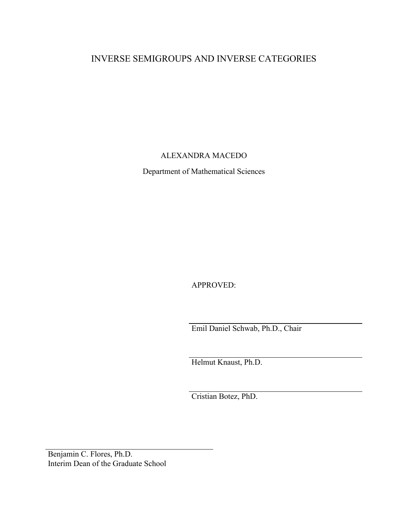# INVERSE SEMIGROUPS AND INVERSE CATEGORIES

ALEXANDRA MACEDO

Department of Mathematical Sciences

APPROVED:

Emil Daniel Schwab, Ph.D., Chair

Helmut Knaust, Ph.D.

Cristian Botez, PhD.

Benjamin C. Flores, Ph.D. Interim Dean of the Graduate School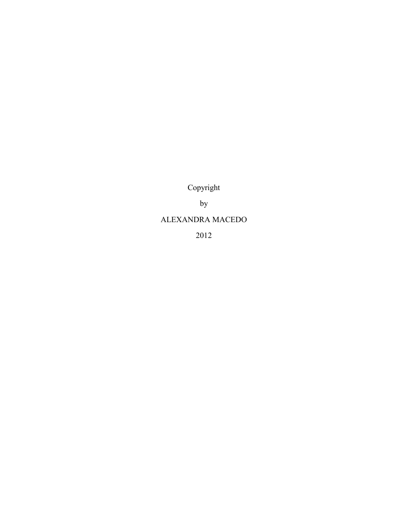Copyright

by

# ALEXANDRA MACEDO

2012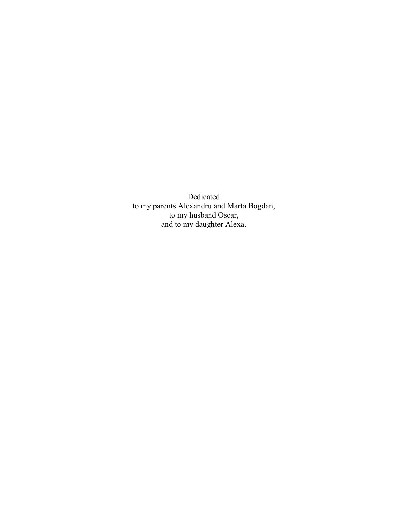Dedicated to my parents Alexandru and Marta Bogdan, to my husband Oscar, and to my daughter Alexa.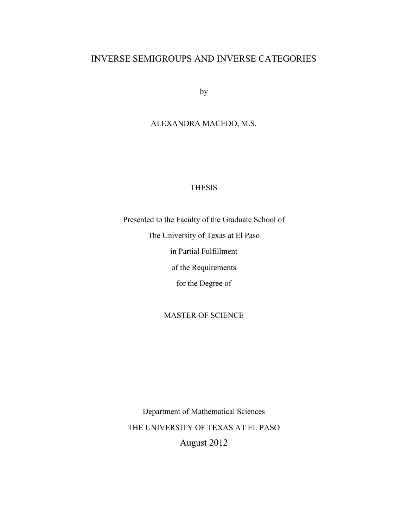# <span id="page-4-0"></span>INVERSE SEMIGROUPS AND INVERSE CATEGORIES

by

### ALEXANDRA MACEDO, M.S.

# THESIS

Presented to the Faculty of the Graduate School of The University of Texas at El Paso in Partial Fulfillment of the Requirements for the Degree of

### MASTER OF SCIENCE

Department of Mathematical Sciences THE UNIVERSITY OF TEXAS AT EL PASO August 2012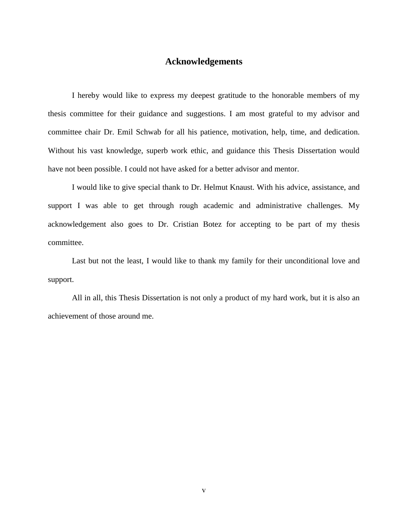# **Acknowledgements**

I hereby would like to express my deepest gratitude to the honorable members of my thesis committee for their guidance and suggestions. I am most grateful to my advisor and committee chair Dr. Emil Schwab for all his patience, motivation, help, time, and dedication. Without his vast knowledge, superb work ethic, and guidance this Thesis Dissertation would have not been possible. I could not have asked for a better advisor and mentor.

I would like to give special thank to Dr. Helmut Knaust. With his advice, assistance, and support I was able to get through rough academic and administrative challenges. My acknowledgement also goes to Dr. Cristian Botez for accepting to be part of my thesis committee.

Last but not the least, I would like to thank my family for their unconditional love and support.

All in all, this Thesis Dissertation is not only a product of my hard work, but it is also an achievement of those around me.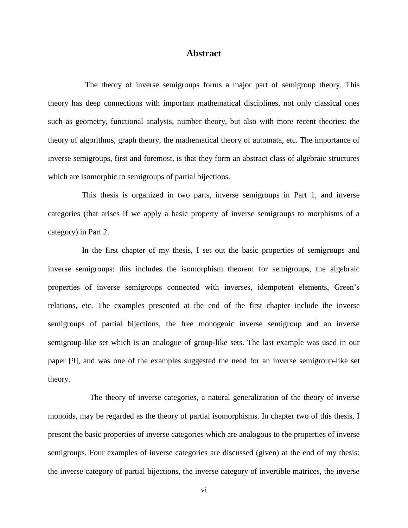#### **Abstract**

<span id="page-6-0"></span>The theory of inverse semigroups forms a major part of semigroup theory. This theory has deep connections with important mathematical disciplines, not only classical ones such as geometry, functional analysis, number theory, but also with more recent theories: the theory of algorithms, graph theory, the mathematical theory of automata, etc. The importance of inverse semigroups, first and foremost, is that they form an abstract class of algebraic structures which are isomorphic to semigroups of partial bijections.

 This thesis is organized in two parts, inverse semigroups in Part 1, and inverse categories (that arises if we apply a basic property of inverse semigroups to morphisms of a category) in Part 2.

 In the first chapter of my thesis, I set out the basic properties of semigroups and inverse semigroups: this includes the isomorphism theorem for semigroups, the algebraic properties of inverse semigroups connected with inverses, idempotent elements, Green's relations, etc. The examples presented at the end of the first chapter include the inverse semigroups of partial bijections, the free monogenic inverse semigroup and an inverse semigroup-like set which is an analogue of group-like sets. The last example was used in our paper [9], and was one of the examples suggested the need for an inverse semigroup-like set theory.

 The theory of inverse categories, a natural generalization of the theory of inverse monoids, may be regarded as the theory of partial isomorphisms. In chapter two of this thesis, I present the basic properties of inverse categories which are analogous to the properties of inverse semigroups. Four examples of inverse categories are discussed (given) at the end of my thesis: the inverse category of partial bijections, the inverse category of invertible matrices, the inverse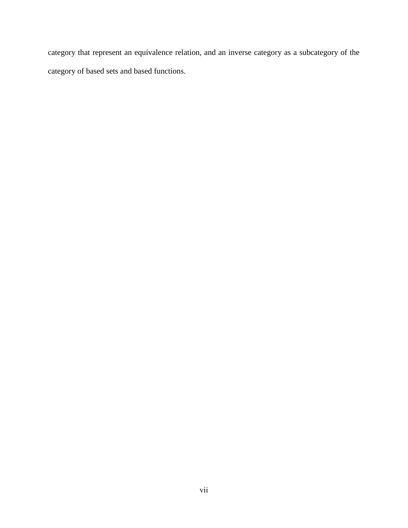category that represent an equivalence relation, and an inverse category as a subcategory of the category of based sets and based functions.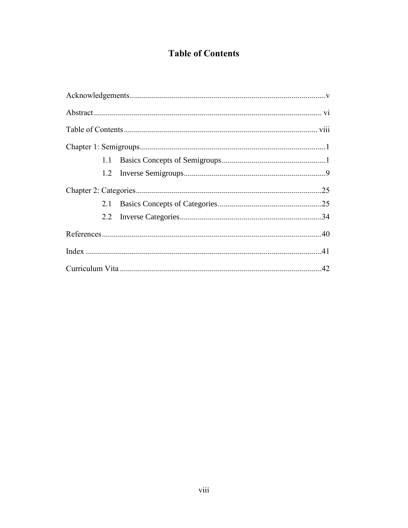# **Table of Contents**

| 1.1 |  |  |
|-----|--|--|
|     |  |  |
|     |  |  |
| 2.1 |  |  |
|     |  |  |
|     |  |  |
|     |  |  |
|     |  |  |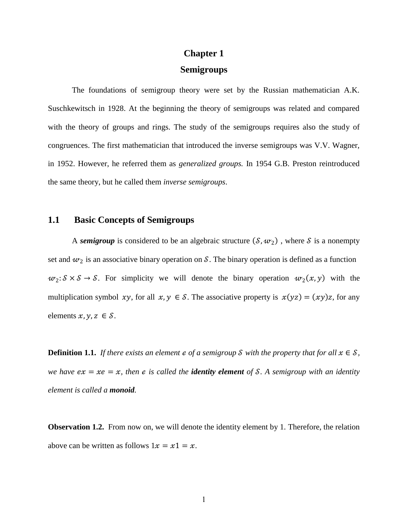# **Chapter 1 Semigroups**

The foundations of semigroup theory were set by the Russian mathematician A.K. Suschkewitsch in 1928. At the beginning the theory of semigroups was related and compared with the theory of groups and rings. The study of the semigroups requires also the study of congruences. The first mathematician that introduced the inverse semigroups was V.V. Wagner, in 1952. However, he referred them as *generalized groups.* In 1954 G.B. Preston reintroduced the same theory, but he called them *inverse semigroups*.

### **1.1 Basic Concepts of Semigroups**

A *semigroup* is considered to be an algebraic structure  $(S, w_2)$ , where S is a nonempty set and  $w_2$  is an associative binary operation on S. The binary operation is defined as a function  $w_2: S \times S \to S$ . For simplicity we will denote the binary operation  $w_2(x, y)$  with the multiplication symbol xy, for all  $x, y \in S$ . The associative property is  $x(yz) = (xy)z$ , for any elements  $x, y, z \in S$ .

**Definition 1.1.** *If there exists an element*  $e$  *of a semigroup S with the property that for all*  $x \in S$ , *we have*  $ex = xe = x$ *, then e is called the <i>identity element* of S. A semigroup with an *identity element is called a monoid.* 

**Observation 1.2.** From now on, we will denote the identity element by 1. Therefore, the relation above can be written as follows  $1x = x1 = x$ .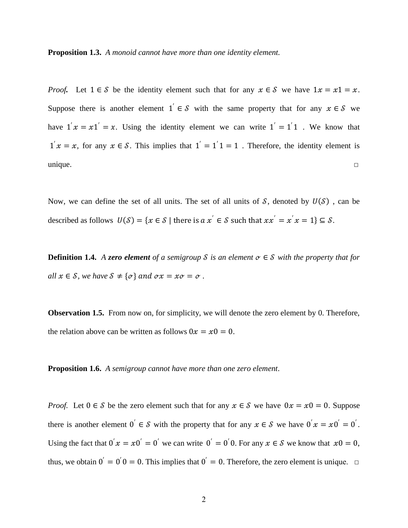**Proposition 1.3.** *A monoid cannot have more than one identity element.*

*Proof.* Let  $1 \in S$  be the identity element such that for any  $x \in S$  we have  $1x = x1 = x$ . Suppose there is another element  $1 \in S$  with the same property that for any  $x \in S$  we have  $1'x = x1' = x$ . Using the identity element we can write  $1' = 1'1$ . We know that  $1'x = x$ , for any  $x \in S$ . This implies that  $1' = 1'1 = 1$ . Therefore, the identity element is  $unique.$ 

Now, we can define the set of all units. The set of all units of  $S$ , denoted by  $U(S)$ , can be described as follows  $U(S) = \{x \in S \mid \text{there is } a x' \in S \text{ such that } xx' = x'x = 1\} \subseteq S.$ 

**Definition 1.4.** *A zero element of a semigroup S is an element*  $\sigma \in S$  *with the property that for all*  $x \in S$ *, we have*  $S \neq \{ \sigma \}$  *and*  $\sigma x = x\sigma = \sigma$ *.* 

**Observation 1.5.** From now on, for simplicity, we will denote the zero element by 0. Therefore, the relation above can be written as follows  $0x = x0 = 0$ .

**Proposition 1.6.** *A semigroup cannot have more than one zero element*.

*Proof.* Let  $0 \in S$  be the zero element such that for any  $x \in S$  we have  $0x = x0 = 0$ . Suppose there is another element  $0' \in S$  with the property that for any  $x \in S$  we have  $0'x = x0' = 0'$ . Using the fact that  $0' x = x 0' = 0'$  we can write  $0' = 0' 0$ . For any  $x \in S$  we know that  $x0 = 0$ , thus, we obtain  $0' = 0'$   $0 = 0$ . This implies that  $0' = 0$ . Therefore, the zero element is unique.  $\Box$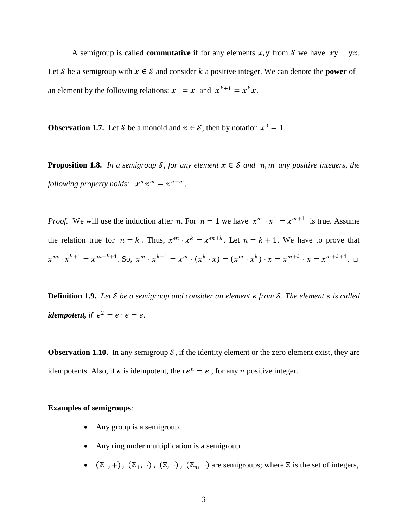A semigroup is called **commutative** if for any elements  $x$ , y from S we have  $xy = yx$ . Let S be a semigroup with  $x \in S$  and consider k a positive integer. We can denote the **power** of an element by the following relations:  $x^1 = x$  and  $x^{k+1} = x^k x$ .

**Observation 1.7.** Let S be a monoid and  $x \in S$ , then by notation  $x^0 = 1$ .

**Proposition 1.8.** *In a semigroup S, for any element*  $x \in S$  *and*  $n, m$  *any positive integers, the following property holds:*  $x^n x^m = x^{n+m}$ .

*Proof.* We will use the induction after *n*. For  $n = 1$  we have  $x^m \cdot x^1 = x^{m+1}$  is true. Assume the relation true for  $n = k$ . Thus,  $x^m \cdot x^k = x^{m+k}$ . Let  $n = k + 1$ . We have to prove that  $x^m \cdot x^{k+1} = x^{m+k+1}$ . So,  $x^m \cdot x^{k+1} = x^m \cdot (x^k \cdot x) = (x^m \cdot x^k) \cdot x = x^{m+k} \cdot x = x^{m+k+1}$ .  $\Box$ 

**Definition 1.9.** Let *S* be a semigroup and consider an element *e* from *S*. The element *e* is called *idempotent,* if  $e^2 = e \cdot e = e$ .

**Observation 1.10.** In any semigroup  $S$ , if the identity element or the zero element exist, they are idempotents. Also, if e is idempotent, then  $e^n = e$ , for any *n* positive integer.

#### **Examples of semigroups**:

- Any group is a semigroup.
- Any ring under multiplication is a semigroup.
- $\bullet$   $(\mathbb{Z}_{+}, +)$ ,  $(\mathbb{Z}_{+}, \cdot)$ ,  $(\mathbb{Z}, \cdot)$ ,  $(\mathbb{Z}_{n}, \cdot)$  are semigroups; where  $\mathbb{Z}$  is the set of integers,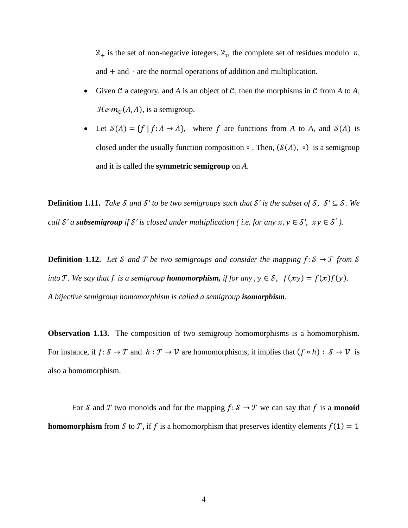$\mathbb{Z}_+$  is the set of non-negative integers,  $\mathbb{Z}_n$  the complete set of residues modulo *n*, and + and ∙ are the normal operations of addition and multiplication.

- Given  $\mathcal C$  a category, and  $A$  is an object of  $\mathcal C$ , then the morphisms in  $\mathcal C$  from  $A$  to  $A$ ,  $\mathcal{H}\sigma m_{\mathcal{C}}(A, A)$ , is a semigroup.
- Let  $S(A) = \{f | f: A \rightarrow A\}$ , where f are functions from A to A, and  $S(A)$  is closed under the usually function composition ∘ . Then,  $(S(A), \circ)$  is a semigroup and it is called the **symmetric semigroup** on *A*.

**Definition 1.11.** *Take*  $\delta$  *and*  $\delta'$  *to be two semigroups such that*  $\delta'$  *is the subset of*  $\delta$ *,*  $\delta' \subseteq \delta$ *. We call*  $S'$  *a subsemigroup* if  $S'$  is closed under multiplication (i.e. for any  $x, y \in S'$ ,  $xy \in S'$ ).

**Definition 1.12.** Let *S* and *T* be two semigroups and consider the mapping  $f: S \rightarrow T$  from *S into T*. We say that *f* is a semigroup **homomorphism**, if for any,  $y \in S$ ,  $f(xy) = f(x)f(y)$ . *A bijective semigroup homomorphism is called a semigroup isomorphism.*

**Observation 1.13.** The composition of two semigroup homomorphisms is a homomorphism. For instance, if  $f: \mathcal{S} \to \mathcal{T}$  and  $h: \mathcal{T} \to \mathcal{V}$  are homomorphisms, it implies that  $(f \circ h): \mathcal{S} \to \mathcal{V}$  is also a homomorphism.

For S and T two monoids and for the mapping  $f: S \to T$  we can say that f is a **monoid homomorphism** from S to T, if f is a homomorphism that preserves identity elements  $f(1) = 1$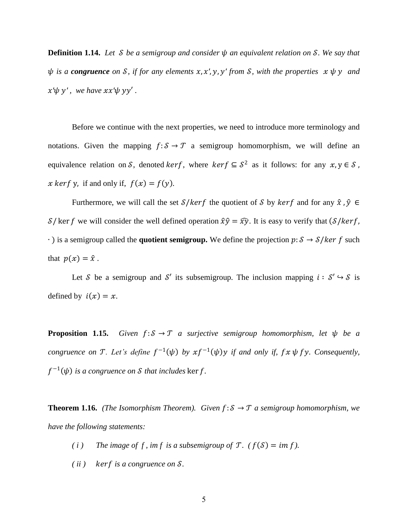**Definition 1.14.** Let *S* be a semigroup and consider  $\psi$  an equivalent relation on *S*. We say that  $\psi$  *is a congruence on S, if for any elements*  $x, x', y, y'$  *from S, with the properties*  $x \psi y$  *and*  $\hat{x}'\psi y'$ , we have  $\hat{x}\hat{x}'\psi y'$ .

Before we continue with the next properties, we need to introduce more terminology and notations. Given the mapping  $f: S \to T$  a semigroup homomorphism, we will define an equivalence relation on S, denoted  $ker f$ , where  $ker f \subseteq S^2$  as it follows: for any  $x, y \in S$ , x kerf y, if and only if,  $f(x) = f(y)$ .

Furthermore, we will call the set  $S/ker f$  the quotient of S by  $ker f$  and for any  $\hat{x}$ ,  $\hat{y} \in$  $\mathcal{S}/\ker f$  we will consider the well defined operation  $\hat{x}\hat{y} = \hat{x}\hat{y}$ . It is easy to verify that  $(\mathcal{S}/\ker f, \mathcal{S})$  $\cdot$ ) is a semigroup called the **quotient semigroup.** We define the projection  $p: S \rightarrow S/ker f$  such that  $p(x) = \hat{x}$ .

Let S be a semigroup and S' its subsemigroup. The inclusion mapping  $i : S' \hookrightarrow S$  is defined by  $i(x) = x$ .

**Proposition 1.15.** *Given*  $f: S \to T$  *a surjective semigroup homomorphism, let*  $\psi$  *be a congruence on*  $\mathcal{T}$ *. Let's define*  $f^{-1}(\psi)$  by  $xf^{-1}(\psi)y$  if and only if,  $fx \psi fy$ *. Consequently,*  $f^{-1}(\psi)$  is a congruence on *S* that includes ker *f*.

**Theorem 1.16.** *(The Isomorphism Theorem).* Given  $f: S \rightarrow T$  a semigroup homomorphism, we *have the following statements:*

- *( i* ) *The image of f, im f is a subsemigroup of*  $\mathcal{T}$ *. (* $f(\mathcal{S}) = im f$ ).
- *( ii ) is a congruence on .*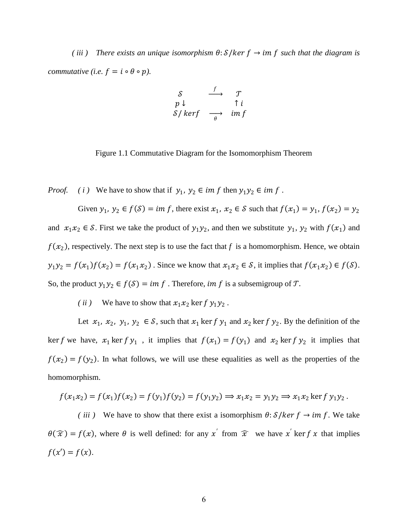*(iii) There exists an unique isomorphism*  $\theta$ :  $S$ /ker  $f \rightarrow im f$  *such that the diagram is commutative (i.e.*  $f = i \circ \theta \circ p$ ).

$$
\begin{array}{ccc}\nS & \xrightarrow{f} & T \\
p \downarrow & & \uparrow i \\
S/\text{kerf} & \xrightarrow{\theta} & \text{im } f\n\end{array}
$$

 $\mathcal{L}_{\mathcal{L}}$ 

Figure 1.1 Commutative Diagram for the Isomomorphism Theorem

*Proof.* (*i*) We have to show that if  $y_1, y_2 \in \text{im } f$  then  $y_1 y_2 \in \text{im } f$ .

Given  $y_1, y_2 \in f(\mathcal{S}) = im f$ , there exist  $x_1, x_2 \in \mathcal{S}$  such that  $f(x_1) = y_1, f(x_2) = y_2$ and  $x_1x_2 \in S$ . First we take the product of  $y_1y_2$ , and then we substitute  $y_1, y_2$  with  $f(x_1)$  and  $f(x_2)$ , respectively. The next step is to use the fact that f is a homomorphism. Hence, we obtain  $y_1y_2 = f(x_1)f(x_2) = f(x_1x_2)$ . Since we know that  $x_1x_2 \in S$ , it implies that  $f(x_1x_2) \in f(S)$ . So, the product  $y_1 y_2 \in f(\mathcal{S}) = im f$ . Therefore, *im f* is a subsemigroup of *T*.

*(ii)* We have to show that  $x_1 x_2$  ker  $f y_1 y_2$ .

Let  $x_1$ ,  $x_2$ ,  $y_1$ ,  $y_2 \in S$ , such that  $x_1$  ker  $f y_1$  and  $x_2$  ker  $f y_2$ . By the definition of the ker f we have,  $x_1$  ker f  $y_1$ , it implies that  $f(x_1) = f(y_1)$  and  $x_2$  ker f  $y_2$  it implies that  $f(x_2) = f(y_2)$ . In what follows, we will use these equalities as well as the properties of the homomorphism.

$$
f(x_1x_2) = f(x_1)f(x_2) = f(y_1)f(y_2) = f(y_1y_2) \Rightarrow x_1x_2 = y_1y_2 \Rightarrow x_1x_2 \text{ ker } f y_1y_2.
$$

*(iii)* We have to show that there exist a isomorphism  $\theta$ :  $S/ker f \rightarrow im f$ . We take  $\theta(\hat{x}) = f(x)$ , where  $\theta$  is well defined: for any x' from  $\hat{x}$  we have x' ker f x that implies  $f(x') = f(x)$ .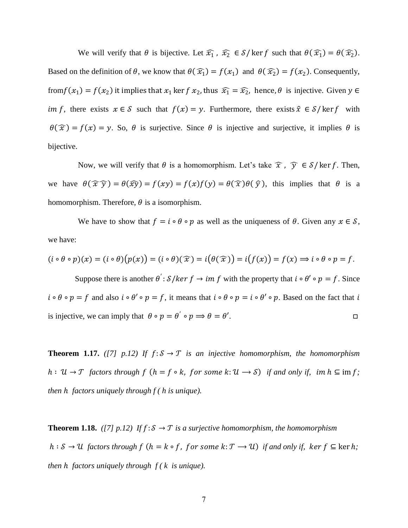We will verify that  $\theta$  is bijective. Let  $\widehat{x}_1$ ,  $\widehat{x}_2 \in S/\text{ker } f$  such that  $\theta(\widehat{x}_1) = \theta(\widehat{x}_2)$ . Based on the definition of  $\theta$ , we know that  $\theta(\widehat{x}_1) = f(x_1)$  and  $\theta(\widehat{x}_2) = f(x_2)$ . Consequently, from  $f(x_1) = f(x_2)$  it implies that  $x_1$  ker  $f(x_2)$ , thus  $\widehat{x_1} = \widehat{x_2}$ , hence,  $\theta$  is injective. Given  $y \in$ im f, there exists  $x \in S$  such that  $f(x) = y$ . Furthermore, there exists  $\hat{x} \in S$ /ker f with  $\theta(\hat{x}) = f(x) = y$ . So,  $\theta$  is surjective. Since  $\theta$  is injective and surjective, it implies  $\theta$  is bijective.

Now, we will verify that  $\theta$  is a homomorphism. Let's take  $\hat{\chi}$ ,  $\hat{\gamma} \in S/ker f$ . Then, we have  $\theta(\hat{x}\hat{y}) = \theta(\hat{x}\hat{y}) = f(xy) = f(x)f(y) = \theta(\hat{x})\theta(\hat{y})$ , this implies that  $\theta$  is a homomorphism. Therefore,  $\theta$  is a isomorphism.

We have to show that  $f = i \circ \theta \circ p$  as well as the uniqueness of  $\theta$ . Given any  $x \in \mathcal{S}$ , we have:

$$
(i \circ \theta \circ p)(x) = (i \circ \theta)(p(x)) = (i \circ \theta)(\widehat{x}) = i(\theta(\widehat{x})) = i(f(x)) = f(x) \Rightarrow i \circ \theta \circ p = f.
$$

Suppose there is another  $\theta$ :  $S/ker f \rightarrow im f$  with the property that  $i \circ \theta' \circ p = f$ . Since  $i \circ \theta \circ p = f$  and also  $i \circ \theta' \circ p = f$ , it means that  $i \circ \theta \circ p = i \circ \theta' \circ p$ . Based on the fact that i is injective, we can imply that  $\theta \circ p = \theta' \circ p \implies \theta = \theta'$ .

**Theorem 1.17.** *([7] p.12) If*  $f: S \rightarrow T$  *is an injective homomorphism, the homomorphism*  $h: \mathcal{U} \to \mathcal{T}$  *factors through*  $f(h = f \circ k, \text{ for some } k: \mathcal{U} \to \mathcal{S}$  *if and only if, im h* ⊆ im *f*; *then h* factors uniquely through  $f(h)$  is unique).

**Theorem 1.18.** *([7] p.12) If*  $f: S \rightarrow T$  *is a surjective homomorphism, the homomorphism*  $h: S → U$  *factors through f* ( $h = k ∘ f$ , *for some k*:  $T → U$ ) *if and only if, ker f* ⊆ ker *h*; *then h factors uniquely through*  $f(k)$  *is unique*).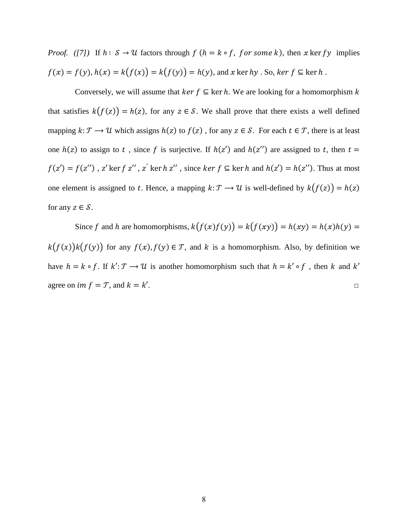*Proof.* ([7]) If  $h: S \to U$  factors through  $f(h = k \circ f, for some k)$ , then  $x \text{ ker } fy$  implies  $f(x) = f(y)$ ,  $h(x) = k(f(x)) = k(f(y)) = h(y)$ , and x ker hy. So, ker  $f \subseteq \text{ker } h$ .

Conversely, we will assume that  $\ker f \subseteq \ker h$ . We are looking for a homomorphism k that satisfies  $k(f(z)) = h(z)$ , for any  $z \in S$ . We shall prove that there exists a well defined mapping  $k: \mathcal{T} \to \mathcal{U}$  which assigns  $h(z)$  to  $f(z)$ , for any  $z \in \mathcal{S}$ . For each  $t \in \mathcal{T}$ , there is at least one  $h(z)$  to assign to t, since f is surjective. If  $h(z')$  and  $h(z'')$  are assigned to t, then  $t =$  $f(z') = f(z'')$ , z' ker  $f z''$ , z' ker  $h z''$ , since ker  $f \subseteq \text{ker } h$  and  $h(z') = h(z'')$ . Thus at most one element is assigned to t. Hence, a mapping  $k: \mathcal{T} \to \mathcal{U}$  is well-defined by  $k(f(z)) = h(z)$ for any  $z \in \mathcal{S}$ .

Since f and h are homomorphisms,  $k(f(x)f(y)) = k(f(xy)) = h(xy) = h(x)h(y) =$  $k(f(x))k(f(y))$  for any  $f(x), f(y) \in \mathcal{T}$ , and k is a homomorphism. Also, by definition we have  $h = k \circ f$ . If  $k': \mathcal{T} \to \mathcal{U}$  is another homomorphism such that  $h = k' \circ f$ , then k and k' agree on *im*  $f = \mathcal{T}$ , and  $k = k'$ .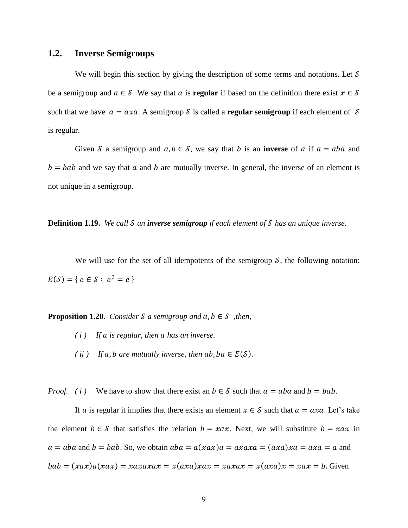#### **1.2. Inverse Semigroups**

We will begin this section by giving the description of some terms and notations. Let  $S$ be a semigroup and  $a \in S$ . We say that a is **regular** if based on the definition there exist  $x \in S$ such that we have  $a = axa$ . A semigroup S is called a **regular semigroup** if each element of S is regular.

Given S a semigroup and  $a, b \in S$ , we say that b is an **inverse** of a if  $a = aba$  and  $b = bab$  and we say that  $a$  and  $b$  are mutually inverse. In general, the inverse of an element is not unique in a semigroup.

**Definition 1.19.** We call S an *inverse semigroup* if each element of S has an unique inverse.

We will use for the set of all idempotents of the semigroup  $S$ , the following notation:  $E(S) = \{ e \in S : e^2 = e \}$ 

**Proposition 1.20.** *Consider S a semigroup and*  $a, b \in S$ , *then,* 

*( i ) If is regular, then has an inverse. (ii) If a, b are mutually inverse, then*  $ab$ *,*  $ba \in E(S)$ *.* 

*Proof. (i)* We have to show that there exist an  $b \in S$  such that  $a = aba$  and  $b = bab$ .

If a is regular it implies that there exists an element  $x \in S$  such that  $a = axa$ . Let's take the element  $b \in S$  that satisfies the relation  $b = xax$ . Next, we will substitute  $b = xax$  in  $a = aba$  and  $b = bab$ . So, we obtain  $aba = a(xax)a = axaxa = (axa)xa = axa = a$  and  $bab = (xax)a(xax) = xaxaxax = x(axa)xax = xaxax = x(axa)x = xax = b$ . Given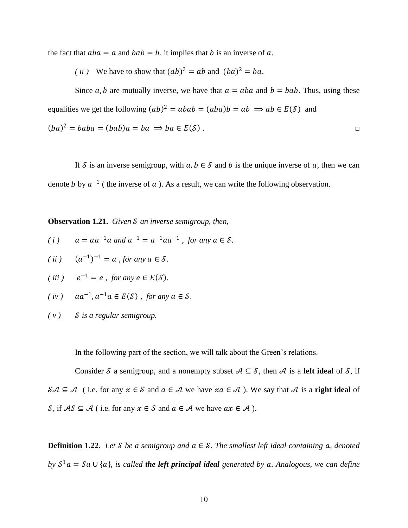the fact that  $aba = a$  and  $bab = b$ , it implies that b is an inverse of a.

*(ii)* We have to show that  $(ab)^2 = ab$  and  $(ba)^2 = ba$ .

Since a, b are mutually inverse, we have that  $a = aba$  and  $b = bab$ . Thus, using these equalities we get the following  $(ab)^2 = abab = (aba)b = ab \Rightarrow ab \in E(S)$  and

$$
(ba)^2 = baba = (bab)a = ba \Rightarrow ba \in E(S).
$$

If S is an inverse semigroup, with  $a, b \in S$  and b is the unique inverse of a, then we can denote *b* by  $a^{-1}$  (the inverse of *a*). As a result, we can write the following observation.

**Observation 1.21.** *Given S* an inverse semigroup, then,

(*i*) 
$$
a = aa^{-1}a
$$
 and  $a^{-1} = a^{-1}aa^{-1}$ , for any  $a \in S$ .

(*ii*) 
$$
(a^{-1})^{-1} = a
$$
, for any  $a \in S$ .

(iii) 
$$
e^{-1} = e
$$
, for any  $e \in E(S)$ .

- $(iv)$   $aa^{-1}, a^{-1}a \in E(S)$ , for any  $a \in S$ .
- *( v ) is a regular semigroup.*

In the following part of the section, we will talk about the Green's relations.

Consider S a semigroup, and a nonempty subset  $A \subseteq S$ , then A is a **left ideal** of S, if  $\mathcal{S}A \subseteq \mathcal{A}$  (i.e. for any  $x \in \mathcal{S}$  and  $a \in \mathcal{A}$  we have  $xa \in \mathcal{A}$ ). We say that  $\mathcal{A}$  is a **right ideal** of S, if  $AS \subseteq \mathcal{A}$  (i.e. for any  $x \in S$  and  $a \in \mathcal{A}$  we have  $ax \in \mathcal{A}$ ).

**Definition 1.22.** Let *S* be a semigroup and  $a \in S$ . The smallest left ideal containing a, denoted *by*  $S^1a = Sa \cup \{a\}$ , is called **the left principal ideal** generated by **a**. Analogous, we can define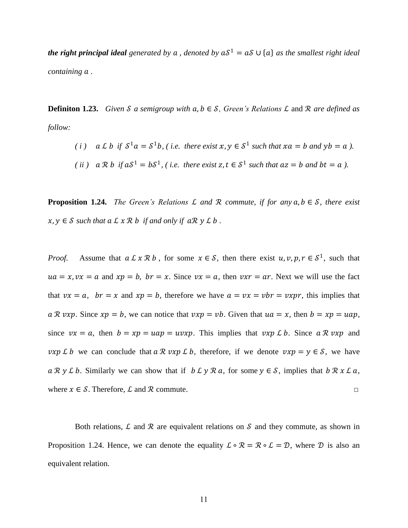**the right principal ideal** generated by  $a$  , denoted by  $aS^1 = aS \cup \{a\}$  as the smallest right ideal *containing .* 

**Definiton 1.23.** *Given S a semigroup with*  $a, b \in S$ , *Green's Relations L* and R are defined as *follow:*

*(i)*  $a \, \mathcal{L} \, b$  if  $S^1 a = S^1 b$ , *(i.e. there exist*  $x, y \in S^1$  such that  $xa = b$  and  $yb = a$ ). *(ii)*  $a \mathcal{R} b$  if  $aS^1 = bS^1$ , *(i.e. there exist*  $z, t \in S^1$  such that  $az = b$  and  $bt = a$ ).

**Proposition 1.24.** *The Green's Relations*  $\mathcal{L}$  *and*  $\mathcal{R}$  *commute, if for any*  $a, b \in \mathcal{S}$ *, there exist*  $x, y \in S$  such that  $a \mathcal{L} x \mathcal{R} b$  if and only if  $a \mathcal{R} y \mathcal{L} b$ .

*Proof.* Assume that  $a \& x \& b$ , for some  $x \in S$ , then there exist  $u, v, p, r \in S^1$ , such that  $ua = x, vx = a$  and  $xp = b$ ,  $br = x$ . Since  $vx = a$ , then  $vx = ar$ . Next we will use the fact that  $vx = a$ ,  $br = x$  and  $xp = b$ , therefore we have  $a = vx = vbr = vxyr$ , this implies that a R vxp. Since  $xp = b$ , we can notice that  $vxp = vb$ . Given that  $ua = x$ , then  $b = xp = uap$ , since  $vx = a$ , then  $b = xp = uap = uvxp$ . This implies that  $vxp \mathcal{L} b$ . Since  $a \mathcal{R} vxp$  and  $vxp \mathcal{L} b$  we can conclude that  $a \mathcal{R} vxp \mathcal{L} b$ , therefore, if we denote  $vxp = y \in \mathcal{S}$ , we have  $a \mathcal{R} y \mathcal{L} b$ . Similarly we can show that if  $b \mathcal{L} y \mathcal{R} a$ , for some  $y \in S$ , implies that  $b \mathcal{R} x \mathcal{L} a$ , where  $x \in S$ . Therefore,  $\mathcal L$  and  $\mathcal R$  commute.

Both relations,  $\mathcal L$  and  $\mathcal R$  are equivalent relations on  $\mathcal S$  and they commute, as shown in Proposition 1.24. Hence, we can denote the equality  $\mathcal{L} \circ \mathcal{R} = \mathcal{R} \circ \mathcal{L} = \mathcal{D}$ , where  $\mathcal D$  is also an equivalent relation.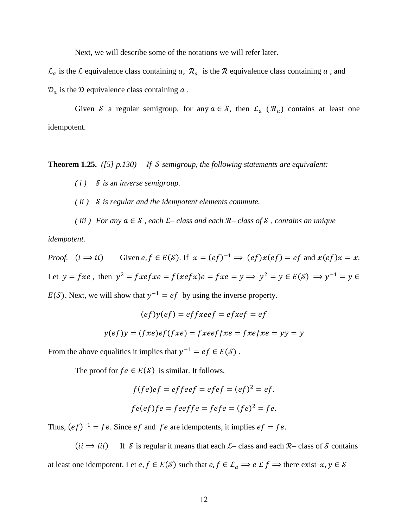Next, we will describe some of the notations we will refer later.

 $\mathcal{L}_a$  is the L equivalence class containing a,  $\mathcal{R}_a$  is the R equivalence class containing a, and  $\mathcal{D}_a$  is the  $\mathcal D$  equivalence class containing  $a$  .

Given S a regular semigroup, for any  $a \in S$ , then  $\mathcal{L}_a$  ( $\mathcal{R}_a$ ) contains at least one idempotent.

**Theorem 1.25.** *([5] p.130) If semigroup, the following statements are equivalent:*

*( i ) is* a*n inverse semigroup.*

*( ii ) is regular and the idempotent elements commute.*

*(iii) For any*  $a \in S$ , *each*  $\mathcal{L}$ – *class and each*  $\mathcal{R}$ – *class of*  $S$ , *contains an unique* 

*idempotent.*

*Proof.*  $(i \Rightarrow ii)$  Given  $e, f \in E(S)$ . If  $x = (ef)^{-1} \Rightarrow (ef)x(ef) = ef$  and  $x(ef)x = x$ . Let  $y = fxe$ , then  $y^2 = fxefxe = f(xefx)e = fxe = y \Rightarrow y^2 = y \in E(S) \Rightarrow y^{-1} = y \in E(S)$  $E(S)$ . Next, we will show that  $y^{-1} = ef$  by using the inverse property.

$$
(ef)y(ef) = effxeef = efxef = ef
$$

$$
y(ef)y = (fxe)e f(fxe) = fxeef fxe = fxe fxe = yy = y
$$

From the above equalities it implies that  $y^{-1} = ef \in E(S)$ .

The proof for  $fe \in E(S)$  is similar. It follows,

$$
f(fe)ef = effeef = efef = (ef)2 = ef.
$$

$$
fe(ef)fe = feetfe = fefe = (fe)2 = fe.
$$

Thus,  $(ef)^{-1} = fe$ . Since  $ef$  and  $fe$  are idempotents, it implies  $ef = fe$ .

 $(ii \Rightarrow iii)$  If S is regular it means that each  $\mathcal{L}$ – class and each  $\mathcal{R}$ – class of S contains at least one idempotent. Let  $e, f \in E(S)$  such that  $e, f \in L_a \implies e \mathcal{L} f \implies$  there exist  $x, y \in S$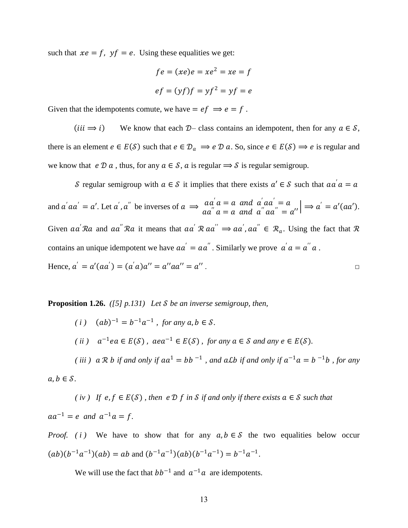such that  $xe = f$ ,  $yf = e$ . Using these equalities we get:

$$
fe = (xe)e = xe2 = xe = f
$$

$$
ef = (yf)f = yf2 = yf = e
$$

Given that the idempotents comute, we have  $= ef \Rightarrow e = f$ .

(*iii*  $\Rightarrow$  *i*) We know that each *D*– class contains an idempotent, then for any  $a \in S$ , there is an element  $e \in E(S)$  such that  $e \in \mathcal{D}_a \implies e \mathcal{D} a$ . So, since  $e \in E(S) \implies e$  is regular and we know that  $e \mathcal{D} a$ , thus, for any  $a \in \mathcal{S}$ , a is regular  $\Rightarrow \mathcal{S}$  is regular semigroup.

S regular semigroup with  $a \in S$  it implies that there exists  $a' \in S$  such that  $aa' \cdot a = a$ and  $a'aa' = a'$ . Let  $a', a''$  be inverses of  $a \implies aa' a = a$  and  $a'aa' = a$  $aa' a = a$  and  $a'aa = a$ <br> $aa'' a = a$  and  $a'' aa'' = a''$   $\Rightarrow a' = a'(aa')$ . Given  $aa'Ra$  and  $aa''Ra$  it means that  $aa'Raa'' \Rightarrow aa',aa'' \in \mathcal{R}_a$ . Using the fact that  $\mathcal R$ contains an unique idempotent we have  $aa' = aa''$ . Similarly we prove  $a' a = a'' a$ . Hence,  $a' = a'(aa') = (a'a)a'' = a''aa'' = a''$ .

**Proposition 1.26.** *([5] p.131) Let be an inverse semigroup, then,* 

\n- (i) 
$$
(ab)^{-1} = b^{-1}a^{-1}
$$
, for any  $a, b \in S$ .
\n- (ii)  $a^{-1}ea \in E(S)$ ,  $aea^{-1} \in E(S)$ , for any  $a \in S$  and any  $e \in E(S)$ .
\n- (iii)  $a \mathcal{R} b$  if and only if  $aa^1 = bb^{-1}$ , and  $aLb$  if and only if  $a^{-1}a = b^{-1}b$ , for any  $a \in S$ .
\n

$$
a, b \in \mathcal{S}.
$$

*(iv) If*  $e, f \in E(S)$ , then  $e \mathcal{D} f$  *in S if and only if there exists*  $a \in S$  *such that*  $aa^{-1} = e$  and  $a^{-1}a = f$ .

*Proof. (i)* We have to show that for any  $a, b \in S$  the two equalities below occur  $(ab)(b^{-1}a^{-1})(ab) = ab$  and  $(b^{-1}a^{-1})(ab)(b^{-1}a^{-1}) = b^{-1}a^{-1}$ .

We will use the fact that  $bb^{-1}$  and  $a^{-1}a$  are idempotents.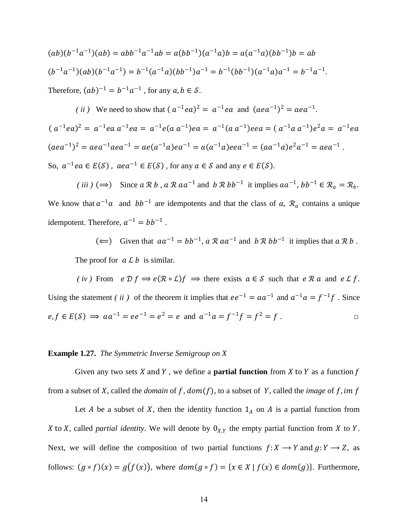$(ab)(b^{-1}a^{-1})(ab) = abb^{-1}a^{-1}ab = a(bb^{-1})(a^{-1}a)b = a(a^{-1}a)(bb^{-1})b = ab$  $(b^{-1}a^{-1})(ab)(b^{-1}a^{-1}) = b^{-1}(a^{-1}a)(bb^{-1})a^{-1} = b^{-1}(bb^{-1})(a^{-1}a)a^{-1} = b^{-1}a^{-1}.$ Therefore,  $(ab)^{-1} = b^{-1}a^{-1}$ , for any  $a, b \in S$ .

*(ii)* We need to show that  $(a^{-1}ea)^2 = a^{-1}ea$  and  $(aea^{-1})^2 = aea^{-1}$ .  $(a^{-1}ea)^2 = a^{-1}ea a^{-1}ea = a^{-1}e(a a^{-1})ea = a^{-1}(a a^{-1})eea = (a^{-1}a a^{-1})e^2 a = a^{-1}ea$  $(aea^{-1})^2 = aea^{-1}aea^{-1} = ae(a^{-1}a)ea^{-1} = a(a^{-1}a)eea^{-1} = (aa^{-1}a)e^2a^{-1} = aea^{-1}$ . So,  $a^{-1}ea \in E(\mathcal{S})$ ,  $aea^{-1} \in E(\mathcal{S})$ , for any  $a \in \mathcal{S}$  and any  $e \in E(\mathcal{S})$ .

(*iii*)  $(\Rightarrow)$  Since  $a \mathcal{R} b$ ,  $a \mathcal{R} a a^{-1}$  and  $b \mathcal{R} b b^{-1}$  it implies  $a a^{-1}$ ,  $b b^{-1} \in \mathcal{R}_a = \mathcal{R}_b$ . We know that  $a^{-1}a$  and  $bb^{-1}$  are idempotents and that the class of a,  $\mathcal{R}_a$  contains a unique idempotent. Therefore,  $a^{-1} = bb^{-1}$ .

( $\Leftarrow$ ) Given that  $aa^{-1} = bb^{-1}$ ,  $a \mathcal{R} aa^{-1}$  and  $b \mathcal{R} bb^{-1}$  it implies that  $a \mathcal{R} b$ . The proof for  $a \mathcal{L} b$  is similar.

*(iv)* From  $e \mathcal{D} f \Rightarrow e(\mathcal{R} \circ \mathcal{L}) f \Rightarrow$  there exists  $a \in \mathcal{S}$  such that  $e \mathcal{R} a$  and  $e \mathcal{L} f$ . Using the statement *(ii)* of the theorem it implies that  $ee^{-1} = aa^{-1}$  and  $a^{-1}a = f^{-1}f$ . Since  $e, f \in E(S) \implies aa^{-1} = ee^{-1} = e^2 = e$  and  $a^{-1}a = f^{-1}f = f^2 = f$ .

#### **Example 1.27.** *The Symmetric Inverse Semigroup on X*

Given any two sets  $X$  and  $Y$ , we define a **partial function** from  $X$  to  $Y$  as a function  $f$ from a subset of X, called the *domain* of f,  $dom(f)$ , to a subset of Y, called the *image* of f, im f

Let  $A$  be a subset of  $X$ , then the identity function  $1_A$  on  $A$  is a partial function from X to X, called *partial identity*. We will denote by  $0_{X,Y}$  the empty partial function from X to Y. Next, we will define the composition of two partial functions  $f: X \rightarrow Y$  and  $g: Y \rightarrow Z$ , as follows:  $(g \circ f)(x) = g(f(x))$ , where  $dom(g \circ f) = \{x \in X \mid f(x) \in dom(g)\}\)$ . Furthermore,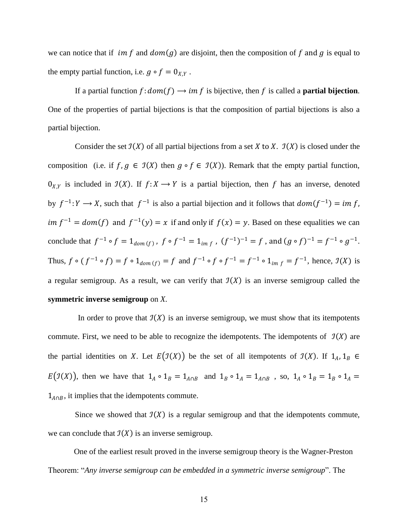we can notice that if im f and  $dom(g)$  are disjoint, then the composition of f and g is equal to the empty partial function, i.e.  $g \circ f = 0_{X,Y}$ .

If a partial function  $f: dom(f) \rightarrow im f$  is bijective, then f is called a **partial bijection**. One of the properties of partial bijections is that the composition of partial bijections is also a partial bijection.

Consider the set  $\mathcal{I}(X)$  of all partial bijections from a set X to X.  $\mathcal{I}(X)$  is closed under the composition (i.e. if  $f, g \in \mathcal{I}(X)$  then  $g \circ f \in \mathcal{I}(X)$ ). Remark that the empty partial function,  $0_{X,Y}$  is included in  $\mathcal{I}(X)$ . If  $f: X \to Y$  is a partial bijection, then f has an inverse, denoted by  $f^{-1}: Y \to X$ , such that  $f^{-1}$  is also a partial bijection and it follows that  $dom(f^{-1}) = im f$ ,  $im f^{-1} = dom(f)$  and  $f^{-1}(y) = x$  if and only if  $f(x) = y$ . Based on these equalities we can conclude that  $f^{-1} \circ f = 1_{dom(f)}$ ,  $f \circ f^{-1} = 1_{im f}$ ,  $(f^{-1})^{-1} = f$ , and  $(g \circ f)^{-1} = f^{-1} \circ g^{-1}$ . Thus,  $f \circ (f^{-1} \circ f) = f \circ 1_{dom(f)} = f$  and  $f^{-1} \circ f \circ f^{-1} = f^{-1} \circ 1_{im(f)} = f^{-1}$ , hence,  $\mathcal{I}(X)$  is a regular semigroup. As a result, we can verify that  $\mathcal{I}(X)$  is an inverse semigroup called the **symmetric inverse semigroup** on *X*.

In order to prove that  $\mathcal{I}(X)$  is an inverse semigroup, we must show that its itempotents commute. First, we need to be able to recognize the idempotents. The idempotents of  $\mathcal{I}(X)$  are the partial identities on X. Let  $E(\mathcal{I}(X))$  be the set of all itempotents of  $\mathcal{I}(X)$ . If  $1_A, 1_B \in$  $E(J(X))$ , then we have that  $1_A \circ 1_B = 1_{A \cap B}$  and  $1_B \circ 1_A = 1_{A \cap B}$ , so,  $1_A \circ 1_B = 1_B \circ 1_A = 1_{A \cap B}$  $1_{A\cap B}$ , it implies that the idempotents commute.

Since we showed that  $\mathcal{I}(X)$  is a regular semigroup and that the idempotents commute, we can conclude that  $\mathcal{I}(X)$  is an inverse semigroup.

 One of the earliest result proved in the inverse semigroup theory is the Wagner-Preston Theorem: "*Any inverse semigroup can be embedded in a symmetric inverse semigroup*". The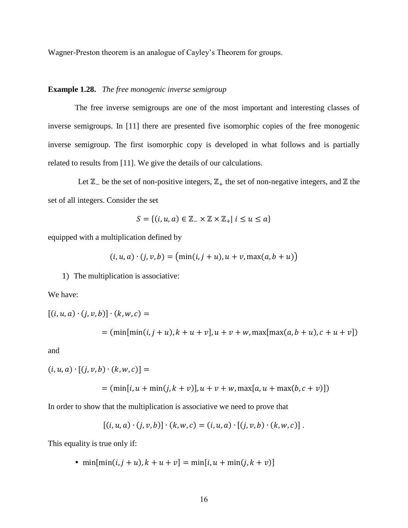Wagner-Preston theorem is an analogue of Cayley's Theorem for groups.

#### **Example 1.28.** *The free monogenic inverse semigroup*

The free inverse semigroups are one of the most important and interesting classes of inverse semigroups. In [11] there are presented five isomorphic copies of the free monogenic inverse semigroup. The first isomorphic copy is developed in what follows and is partially related to results from [11]. We give the details of our calculations.

Let  $\mathbb{Z}_-$  be the set of non-positive integers,  $\mathbb{Z}_+$  the set of non-negative integers, and  $\mathbb Z$  the set of all integers. Consider the set

$$
S = \{(i, u, a) \in \mathbb{Z}_- \times \mathbb{Z} \times \mathbb{Z}_+ | i \le u \le a\}
$$

equipped with a multiplication defined by

$$
(i, u, a) \cdot (j, v, b) = (min(i, j + u), u + v, max(a, b + u))
$$

1) The multiplication is associative:

We have:

$$
[(i, u, a) \cdot (j, v, b)] \cdot (k, w, c) =
$$
  
= (min[min(i, j + u), k + u + v], u + v + w, max[max(a, b + u), c + u + v])

and

$$
(i, u, a) \cdot [(j, v, b) \cdot (k, w, c)] =
$$
  
= (min[i, u + min(j, k + v)], u + v + w, max[a, u + max(b, c + v)])

In order to show that the multiplication is associative we need to prove that

$$
[(i, u, a) \cdot (j, v, b)] \cdot (k, w, c) = (i, u, a) \cdot [(j, v, b) \cdot (k, w, c)].
$$

This equality is true only if:

• min $[\min(i, j + u), k + u + v] = \min[i, u + \min(j, k + v)]$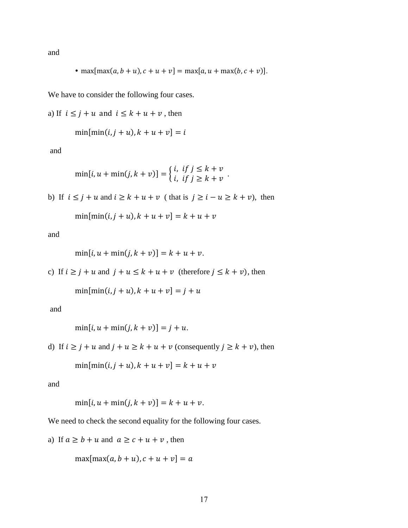and

• 
$$
\max[\max(a, b + u), c + u + v] = \max[a, u + \max(b, c + v)].
$$

We have to consider the following four cases.

a) If  $i \leq j + u$  and  $i \leq k + u + v$ , then

$$
\min[\min(i, j + u), k + u + v] = i
$$

and

$$
\min[i, u + \min(j, k + v)] = \begin{cases} i, & \text{if } j \leq k + v \\ i, & \text{if } j \geq k + v \end{cases}.
$$

b) If  $i \leq j + u$  and  $i \geq k + u + v$  (that is  $j \geq i - u \geq k + v$ ), then

$$
\min[\min(i, j + u), k + u + v] = k + u + v
$$

and

$$
\min[i, u + \min(j, k + v)] = k + u + v.
$$

c) If  $i \ge j + u$  and  $j + u \le k + u + v$  (therefore  $j \le k + v$ ), then

$$
\min[\min(i, j + u), k + u + v] = j + u
$$

and

$$
\min[i, u + \min(j, k + v)] = j + u.
$$

d) If  $i \ge j + u$  and  $j + u \ge k + u + v$  (consequently  $j \ge k + v$ ), then

$$
\min[\min(i, j + u), k + u + v] = k + u + v
$$

and

$$
\min[i, u + \min(j, k + v)] = k + u + v.
$$

We need to check the second equality for the following four cases.

a) If  $a \ge b + u$  and  $a \ge c + u + v$ , then

$$
\max[\max(a, b + u), c + u + v] = a
$$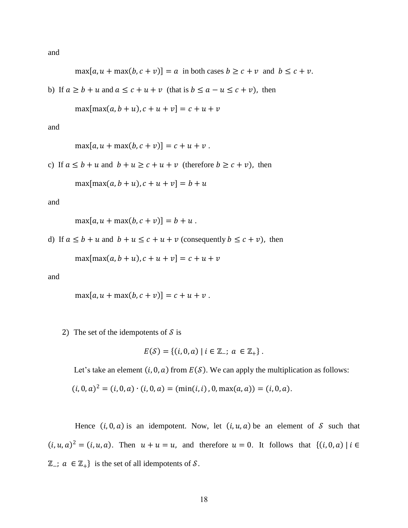and

 $\max[a, u + \max(b, c + v)] = a$  in both cases  $b \ge c + v$  and  $b \le c + v$ .

b) If 
$$
a \ge b + u
$$
 and  $a \le c + u + v$  (that is  $b \le a - u \le c + v$ ), then

$$
\max[\max(a, b + u), c + u + v] = c + u + v
$$

and

$$
\max[a, u + \max(b, c + v)] = c + u + v.
$$

c) If  $a \le b + u$  and  $b + u \ge c + u + v$  (therefore  $b \ge c + v$ ), then

$$
\max[\max(a, b + u), c + u + v] = b + u
$$

and

$$
\max[a, u + \max(b, c + v)] = b + u.
$$

d) If  $a \le b + u$  and  $b + u \le c + u + v$  (consequently  $b \le c + v$ ), then

$$
\max[\max(a, b + u), c + u + v] = c + u + v
$$

and

$$
\max[a, u + \max(b, c + v)] = c + u + v.
$$

2) The set of the idempotents of  $S$  is

$$
E(S) = \{ (i, 0, a) \mid i \in \mathbb{Z}_+; a \in \mathbb{Z}_+ \}.
$$

Let's take an element  $(i, 0, a)$  from  $E(S)$ . We can apply the multiplication as follows:

$$
(i, 0, a)^2 = (i, 0, a) \cdot (i, 0, a) = (\min(i, i), 0, \max(a, a)) = (i, 0, a).
$$

Hence  $(i, 0, a)$  is an idempotent. Now, let  $(i, u, a)$  be an element of S such that  $(i, u, a)^2 = (i, u, a)$ . Then  $u + u = u$ , and therefore  $u = 0$ . It follows that  $\{(i, 0, a) \mid i \in$  $\mathbb{Z}_$  ; *a* ∈  $\mathbb{Z}_+$ } is the set of all idempotents of S.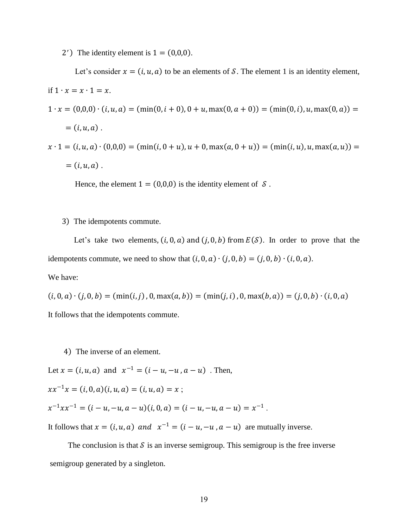2<sup>'</sup>) The identity element is  $1 = (0,0,0)$ .

Let's consider  $x = (i, u, a)$  to be an elements of S. The element 1 is an identity element, if  $1 \cdot x = x \cdot 1 = x$ .  $1 \cdot x = (0,0,0) \cdot (i, u, a) = (\min(0, i + 0), 0 + u, \max(0, a + 0)) = (\min(0, i), u, \max(0, a)) =$  $=$   $(i, u, a)$ .

 $x \cdot 1 = (i, u, a) \cdot (0, 0, 0) = (\min(i, 0 + u), u + 0, \max(a, 0 + u)) = (\min(i, u), u, \max(a, u)) =$  $=$   $(i, u, a)$ .

Hence, the element  $1 = (0,0,0)$  is the identity element of S.

#### 3) The idempotents commute.

Let's take two elements,  $(i, 0, a)$  and  $(j, 0, b)$  from  $E(S)$ . In order to prove that the idempotents commute, we need to show that  $(i, 0, a) \cdot (j, 0, b) = (j, 0, b) \cdot (i, 0, a)$ .

We have:

 $(i, 0, a) \cdot (j, 0, b) = (min(i, j), 0, max(a, b)) = (min(j, i), 0, max(b, a)) = (j, 0, b) \cdot (i, 0, a)$ It follows that the idempotents commute.

4) The inverse of an element.

Let  $x = (i, u, a)$  and  $x^{-1} = (i - u, -u, a - u)$ . Then,

 $xx^{-1}x = (i, 0, a)(i, u, a) = (i, u, a) = x;$ 

 $x^{-1}xx^{-1} = (i - u, -u, a - u)(i, 0, a) = (i - u, -u, a - u) = x^{-1}$ .

It follows that  $x = (i, u, a)$  and  $x^{-1} = (i - u, -u, a - u)$  are mutually inverse.

The conclusion is that  $\delta$  is an inverse semigroup. This semigroup is the free inverse semigroup generated by a singleton.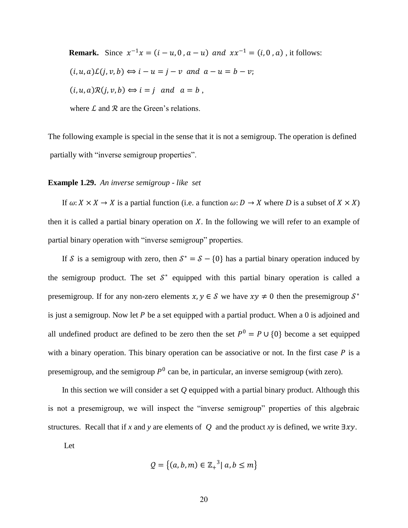**Remark.** Since  $x^{-1}x = (i - u, 0, a - u)$  and  $xx^{-1} = (i, 0, a)$ , it follows:  $(i, u, a) \mathcal{L}(j, v, b) \Leftrightarrow i - u = j - v \text{ and } a - u = b - v;$  $(i, u, a) \mathcal{R}(j, v, b) \Longleftrightarrow i = j \text{ and } a = b$ ,

where  $\mathcal L$  and  $\mathcal R$  are the Green's relations.

The following example is special in the sense that it is not a semigroup. The operation is defined partially with "inverse semigroup properties".

#### **Example 1.29.** *An inverse semigroup - like set*

If  $\omega: X \times X \to X$  is a partial function (i.e. a function  $\omega: D \to X$  where D is a subset of  $X \times X$ ) then it is called a partial binary operation on  $X$ . In the following we will refer to an example of partial binary operation with "inverse semigroup" properties.

If S is a semigroup with zero, then  $S^* = S - \{0\}$  has a partial binary operation induced by the semigroup product. The set  $S^*$  equipped with this partial binary operation is called a presemigroup. If for any non-zero elements  $x, y \in S$  we have  $xy \neq 0$  then the presemigroup  $S^*$ is just a semigroup. Now let  $P$  be a set equipped with a partial product. When a 0 is adjoined and all undefined product are defined to be zero then the set  $P^0 = P \cup \{0\}$  become a set equipped with a binary operation. This binary operation can be associative or not. In the first case  $P$  is a presemigroup, and the semigroup  $P^0$  can be, in particular, an inverse semigroup (with zero).

 In this section we will consider a set *Q* equipped with a partial binary product. Although this is not a presemigroup, we will inspect the "inverse semigroup" properties of this algebraic structures. Recall that if *x* and *y* are elements of *Q* and the product *xy* is defined, we write  $\exists xy$ .

Let

$$
\mathcal{Q} = \left\{ (a, b, m) \in \mathbb{Z}_+^3 \middle| a, b \le m \right\}
$$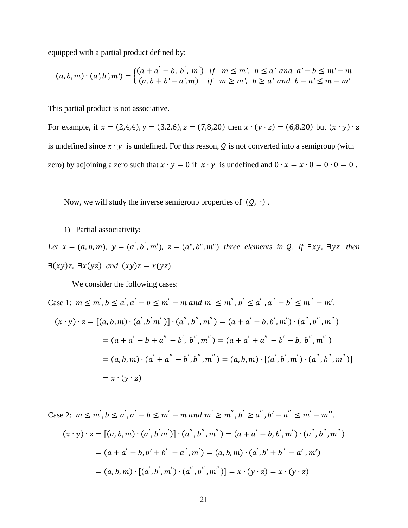equipped with a partial product defined by:

$$
(a, b, m) \cdot (a', b', m') = \begin{cases} (a + a' - b, b', m') & \text{if } m \le m', \ b \le a' \text{ and } a' - b \le m' - m \\ (a, b + b' - a', m) & \text{if } m \ge m', \ b \ge a' \text{ and } b - a' \le m - m' \end{cases}
$$

This partial product is not associative.

For example, if  $x = (2,4,4)$ ,  $y = (3,2,6)$ ,  $z = (7,8,20)$  then  $x \cdot (y \cdot z) = (6,8,20)$  but  $(x \cdot y) \cdot z$ is undefined since  $x \cdot y$  is undefined. For this reason, Q is not converted into a semigroup (with zero) by adjoining a zero such that  $x \cdot y = 0$  if  $x \cdot y$  is undefined and  $0 \cdot x = x \cdot 0 = 0 \cdot 0 = 0$ .

Now, we will study the inverse semigroup properties of  $(Q, \cdot)$ .

1) Partial associativity:

*Let*  $x = (a, b, m)$ ,  $y = (a', b', m')$ ,  $z = (a'', b'', m'')$  three elements in *Q*. If  $\exists xy$ ,  $\exists yz$  then  $\exists (xy)z$ ,  $\exists x(yz)$  and  $(xy)z = x(yz)$ .

We consider the following cases:

Case 1: 
$$
m \le m', b \le a', a' - b \le m' - m
$$
 and  $m' \le m'', b' \le a'', a'' - b' \le m'' - m'.$   
\n
$$
(x \cdot y) \cdot z = [(a, b, m) \cdot (a', b'm')] \cdot (a'', b'', m'') = (a + a' - b, b', m') \cdot (a'', b'', m'')
$$
\n
$$
= (a + a' - b + a'' - b', b'', m'') = (a + a' + a'' - b' - b, b'', m'')
$$
\n
$$
= (a, b, m) \cdot (a' + a'' - b', b'', m'') = (a, b, m) \cdot [(a', b', m') \cdot (a'', b'', m'')]
$$
\n
$$
= x \cdot (y \cdot z)
$$

Case 2:  $m \le m^{'}, b \le a^{'}, a^{'} - b \le m^{'} - m$  and  $m^{'} \ge m^{''}, b^{'} \ge a^{''}, b' - a^{''} \le m^{'} - m^{''}.$  $(x \cdot y) \cdot z = [(a, b, m) \cdot (a', b' m')] \cdot (a'', b'', m'') = (a + a' - b, b', m') \cdot (a'', b'', m'')$  $=(a + a' - b, b' + b'' - a'', m') = (a, b, m) \cdot (a', b' + b'' - a'', m')$  $=(a, b, m) \cdot [(a^{'}, b^{'}, m^{'}) \cdot (a^{''}, b^{''}, m^{''})] = x \cdot (y \cdot z) = x \cdot (y \cdot z)$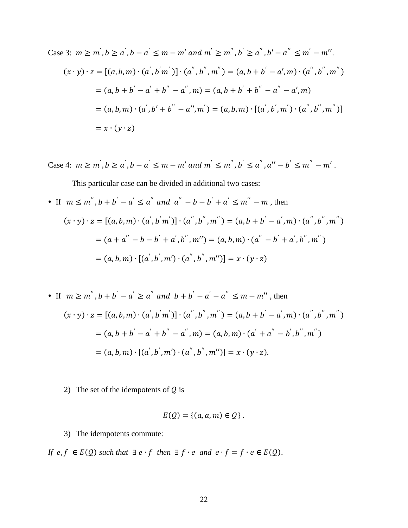Case 3: 
$$
m \ge m', b \ge a', b - a' \le m - m' \text{ and } m' \ge m'', b' \ge a'', b' - a'' \le m' - m''.
$$
  
\n
$$
(x \cdot y) \cdot z = [(a, b, m) \cdot (a', b' m')] \cdot (a'', b'', m'') = (a, b + b' - a', m) \cdot (a'', b'', m'')
$$
\n
$$
= (a, b + b' - a' + b'' - a'', m) = (a, b + b' + b'' - a'' - a', m)
$$
\n
$$
= (a, b, m) \cdot (a', b' + b'' - a'', m') = (a, b, m) \cdot [(a', b', m') \cdot (a'', b'', m'')]
$$
\n
$$
= x \cdot (y \cdot z)
$$

Case 4:  $m \ge m'$ ,  $b \ge a'$ ,  $b - a' \le m - m'$  and  $m' \le m''$ ,  $b' \le a''$ ,  $a'' - b' \le m'' - m'$ .

This particular case can be divided in additional two cases:

• If 
$$
m \le m''
$$
,  $b + b' - a' \le a''$  and  $a'' - b - b' + a' \le m'' - m$ , then  
\n
$$
(x \cdot y) \cdot z = [(a, b, m) \cdot (a', b'm')] \cdot (a'', b'', m'') = (a, b + b' - a', m) \cdot (a'', b'', m'')
$$
\n
$$
= (a + a'' - b - b' + a', b'', m'') = (a, b, m) \cdot (a'' - b' + a', b'', m'')
$$
\n
$$
= (a, b, m) \cdot [(a', b', m') \cdot (a'', b'', m'')] = x \cdot (y \cdot z)
$$

• If 
$$
m \ge m''
$$
,  $b + b' - a' \ge a''$  and  $b + b' - a' - a'' \le m - m''$ , then  
\n
$$
(x \cdot y) \cdot z = [(a, b, m) \cdot (a', b'm')] \cdot (a'', b'', m'') = (a, b + b' - a', m) \cdot (a'', b'', m'')
$$
\n
$$
= (a, b + b' - a' + b'' - a'', m) = (a, b, m) \cdot (a' + a'' - b', b'', m'')
$$
\n
$$
= (a, b, m) \cdot [(a', b', m') \cdot (a'', b'', m'')] = x \cdot (y \cdot z).
$$

2) The set of the idempotents of  $Q$  is

$$
E(Q) = \{(a, a, m) \in Q\}.
$$

3) The idempotents commute:

If  $e, f \in E(Q)$  such that  $\exists e \cdot f$  then  $\exists f \cdot e$  and  $e \cdot f = f \cdot e \in E(Q)$ .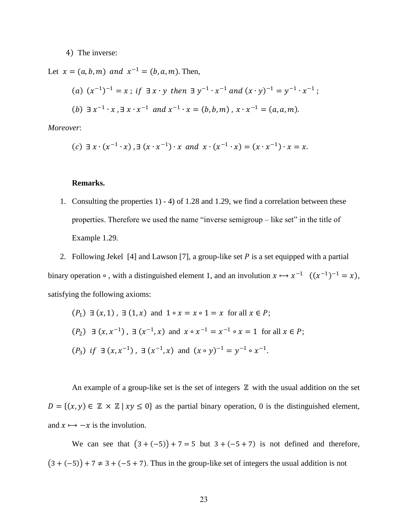#### 4) The inverse:

Let  $x = (a, b, m)$  and  $x^{-1} = (b, a, m)$ . Then,

(a) 
$$
(x^{-1})^{-1} = x
$$
; if  $\exists x \cdot y$  then  $\exists y^{-1} \cdot x^{-1}$  and  $(x \cdot y)^{-1} = y^{-1} \cdot x^{-1}$ ;  
\n(b)  $\exists x^{-1} \cdot x, \exists x \cdot x^{-1}$  and  $x^{-1} \cdot x = (b, b, m)$ ,  $x \cdot x^{-1} = (a, a, m)$ .

*Moreover*:

(c) 
$$
\exists x \cdot (x^{-1} \cdot x), \exists (x \cdot x^{-1}) \cdot x \text{ and } x \cdot (x^{-1} \cdot x) = (x \cdot x^{-1}) \cdot x = x.
$$

#### **Remarks.**

- 1. Consulting the properties 1) 4) of 1.28 and 1.29, we find a correlation between these properties. Therefore we used the name "inverse semigroup – like set" in the title of Example 1.29.
- 2. Following Jekel [4] and Lawson [7], a group-like set  $P$  is a set equipped with a partial

binary operation •, with a distinguished element 1, and an involution  $x \mapsto x^{-1}$   $((x^{-1})^{-1} = x)$ , satisfying the following axioms:

 $(P_1) \exists (x, 1)$ ,  $\exists (1, x)$  and  $1 \circ x = x \circ 1 = x$  for all  $x \in P$ ;  $(P_2) \exists (x, x^{-1}), \exists (x^{-1}, x) \text{ and } x \circ x^{-1} = x^{-1} \circ x = 1 \text{ for all } x \in P;$  $(P_3)$  if  $\exists (x, x^{-1}), \exists (x^{-1}, x)$  and  $(x \circ y)^{-1} = y^{-1} \circ x^{-1}$ .

An example of a group-like set is the set of integers  $\mathbb Z$  with the usual addition on the set  $D = \{ (x, y) \in \mathbb{Z} \times \mathbb{Z} \mid xy \le 0 \}$  as the partial binary operation, 0 is the distinguished element, and  $x \mapsto -x$  is the involution.

We can see that  $(3 + (-5)) + 7 = 5$  but  $3 + (-5 + 7)$  is not defined and therefore,  $(3 + (-5)) + 7 \neq 3 + (-5 + 7)$ . Thus in the group-like set of integers the usual addition is not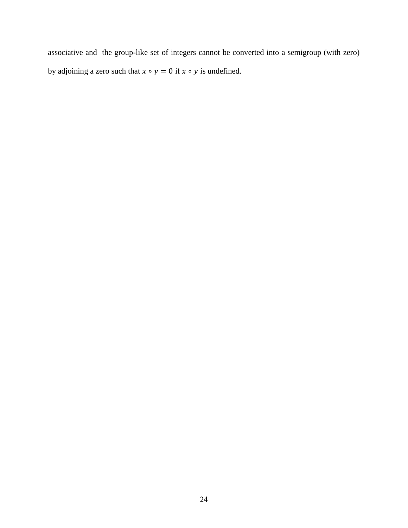associative and the group-like set of integers cannot be converted into a semigroup (with zero) by adjoining a zero such that  $x \circ y = 0$  if  $x \circ y$  is undefined.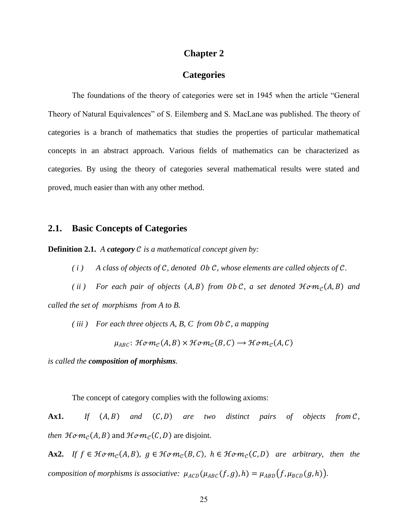#### **Chapter 2**

# **Categories**

The foundations of the theory of categories were set in 1945 when the article "General Theory of Natural Equivalences" of S. Eilemberg and S. MacLane was published. The theory of categories is a branch of mathematics that studies the properties of particular mathematical concepts in an abstract approach. Various fields of mathematics can be characterized as categories. By using the theory of categories several mathematical results were stated and proved, much easier than with any other method.

#### **2.1. Basic Concepts of Categories**

**Definition 2.1.** A *category* C is a mathematical concept given by:

 $(i)$  *A class of objects of C, denoted Ob C, whose elements are called objects of C.* 

*(ii)* For each pair of objects  $(A, B)$  from  $Ob C$ , a set denoted  $Hom_{C}(A, B)$  and *called the set of morphisms from A to B.*

*(iii)* For each three objects A, B, C from  $Ob C$ , a mapping

$$
\mu_{ABC} \colon \mathcal{H}\mathcal{O}\mathcal{m}_C(A,B) \times \mathcal{H}\mathcal{O}\mathcal{m}_C(B,C) \longrightarrow \mathcal{H}\mathcal{O}\mathcal{m}_C(A,C)
$$

*is called the composition of morphisms.*

The concept of category complies with the following axioms:

**Ax1.** If  $(A, B)$  and  $(C, D)$  are two distinct pairs of objects from  $C$ , *then*  $Hom_{\mathcal{C}}(A, B)$  and  $Hom_{\mathcal{C}}(\mathcal{C}, D)$  are disjoint.

**Ax2.** If  $f \in \mathcal{H} \circ m_{\mathcal{C}}(A, B)$ ,  $g \in \mathcal{H} \circ m_{\mathcal{C}}(B, C)$ ,  $h \in \mathcal{H} \circ m_{\mathcal{C}}(C, D)$  are arbitrary, then the *composition of morphisms is associative:*  $\mu_{ACD}(\mu_{ABC}(f, g), h) = \mu_{ABD}(f, \mu_{BCD}(g, h)).$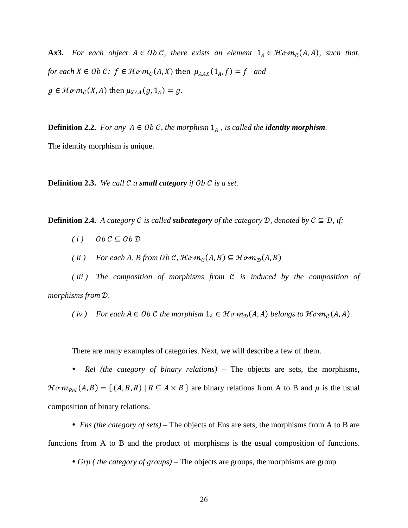**Ax3.** For each object  $A \in Ob \mathcal{C}$ , there exists an element  $1_A \in \mathcal{H} \circ m_{\mathcal{C}}(A, A)$ , such that, *for each*  $X \in Ob \mathcal{C}$ :  $f \in \mathcal{H}om_{\mathcal{C}}(A, X)$  then  $\mu_{AAX}(1_A, f) = f$  and  $g \in \mathcal{H} \text{om}_{\mathcal{C}}(X, A)$  then  $\mu_{XAA}(g, 1_A) = g$ .

**Definition 2.2.** *For any*  $A \in Ob C$ *, the morphism*  $1_A$ *, is called the <i>identity* morphism.

The identity morphism is unique.

**Definition 2.3.** We call  $C$  a small category if  $Ob C$  is a set.

**Definition 2.4.** *A category*  $C$  *is called subcategory of the category*  $D$ *, denoted by*  $C \subseteq D$ *, if:* 

- $(i)$   $Ob C \subseteq Ob D$
- $(iii)$  For each A, B from  $Ob C$ ,  $Hom_C(A, B) \subseteq Hom_D(A, B)$

*(iii)* The composition of morphisms from C is induced by the composition of *morphisms from .* 

 $(w)$  *For each*  $A \in Ob$  *C* the morphism  $1_A \in H \circ m_D(A, A)$  belongs to  $H \circ m_C(A, A)$ .

There are many examples of categories. Next, we will describe a few of them.

 *Rel (the category of binary relations) –* The objects are sets, the morphisms,  $\mathcal{H} \circ m_{Rel}(A, B) = \{ (A, B, R) \mid R \subseteq A \times B \}$  are binary relations from A to B and  $\mu$  is the usual composition of binary relations.

 *Ens (the category of sets)* – The objects of Ens are sets, the morphisms from A to B are functions from A to B and the product of morphisms is the usual composition of functions.

*Grp ( the category of groups)* – The objects are groups, the morphisms are group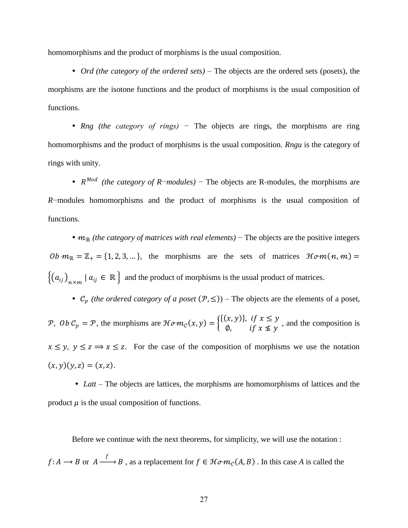homomorphisms and the product of morphisms is the usual composition.

• *Ord (the category of the ordered sets)* – The objects are the ordered sets (posets), the morphisms are the isotone functions and the product of morphisms is the usual composition of functions.

 *Rng (the category of rings) −* The objects are rings, the morphisms are ring homomorphisms and the product of morphisms is the usual composition. *Rngu* is the category of rings with unity.

*R*<sup>Mod</sup> (the category of R−*modules*) – The objects are R-modules, the morphisms are *R*−modules homomorphisms and the product of morphisms is the usual composition of functions.

•  $m_{\mathbb{R}}$  (the category of matrices with real elements) – The objects are the positive integers  $Ob \ m_{\mathbb{R}} = \mathbb{Z}_+ = \{1, 2, 3, ...\}$ , the morphisms are the sets of matrices  $Hom(n, m) =$  $\{(a_{ij})_{n \times m} | a_{ij} \in \mathbb{R}\}\$  and the product of morphisms is the usual product of matrices.

•  $C_p$  *(the ordered category of a poset*  $(\mathcal{P}, \leq)$ ) – The objects are the elements of a poset,

P,  $Ob C_p = P$ , the morphisms are  $Hom_c(x, y) = \begin{cases} \{(x, y)\}, & \text{if } x \leq y \\ 0 & \text{if } x \leq y \end{cases}$  $\emptyset$ ,  $if x \leq y$ , and the composition is  $\emptyset$ ,  $x \leq y$ ,  $y \leq z \implies x \leq z$ . For the case of the composition of morphisms we use the notation  $(x, y)(y, z) = (x, z).$ 

• *Latt* – The objects are lattices, the morphisms are homomorphisms of lattices and the product  $\mu$  is the usual composition of functions.

Before we continue with the next theorems, for simplicity, we will use the notation :  $f: A \longrightarrow B$  or  $A \xrightarrow{f} B$ , as a replacement for  $f \in \mathcal{H} \circ m_{\mathcal{C}}(A, B)$ . In this case A is called the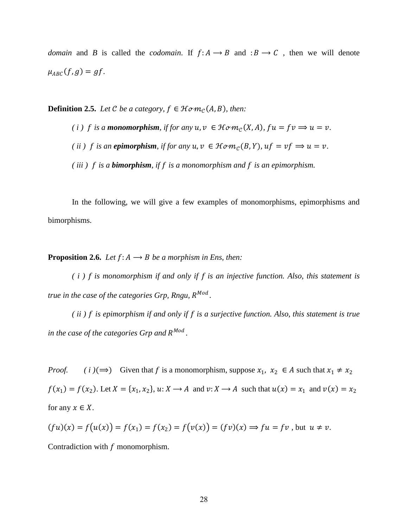*domain* and *B* is called the *codomain*. If  $f: A \rightarrow B$  and  $:B \rightarrow C$ , then we will denote  $\mu_{ABC}(f,g) = gf.$ 

**Definition 2.5.** *Let*  $C$  *be a category,*  $f \in \mathcal{H} \circ m_{\mathcal{C}}(A, B)$ *, then:* 

- *(i)*  $f$  *is a monomorphism, if for any*  $u, v \in \mathcal{H} \circ m_{\mathcal{C}}(X, A)$ ,  $fu = fv \Rightarrow u = v$ .
- *(ii)*  $f$  *is an epimorphism, if for any*  $u, v \in \mathcal{H} \circ m_{\mathcal{C}}(B, Y)$ ,  $uf = vf \Rightarrow u = v$ .
- *( iii ) is a bimorphism, if is a monomorphism and is an epimorphism.*

In the following, we will give a few examples of monomorphisms, epimorphisms and bimorphisms.

**Proposition 2.6.** *Let*  $f: A \rightarrow B$  *be a morphism in Ens, then:* 

*( i ) is monomorphism if and only if is an injective function. Also, this statement is true in the case of the categories Grp, Rngu, .*

*( ii ) is epimorphism if and only if is a surjective function. Also, this statement is true*  in the case of the categories Grp and  $R^{Mod}$ .

*Proof.*  $(i)(\Rightarrow)$  Given that f is a monomorphism, suppose  $x_1, x_2 \in A$  such that  $x_1 \neq x_2$  $f(x_1) = f(x_2)$ . Let  $X = \{x_1, x_2\}$ ,  $u: X \rightarrow A$  and  $v: X \rightarrow A$  such that  $u(x) = x_1$  and  $v(x) = x_2$ for any  $x \in X$ .

$$
(fu)(x) = f(u(x)) = f(x_1) = f(x_2) = f(v(x)) = (fv)(x) \implies fu = fv \text{, but } u \neq v.
$$

Contradiction with  $f$  monomorphism.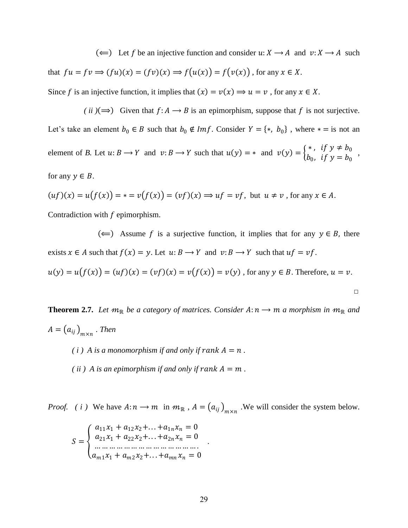( $\Leftarrow$ ) Let f be an injective function and consider  $u: X \to A$  and  $v: X \to A$  such that  $fu = fv \implies (fu)(x) = (fv)(x) \implies f(u(x)) = f(v(x))$ , for any  $x \in X$ .

Since f is an injective function, it implies that  $(x) = v(x) \implies u = v$ , for any  $x \in X$ .

*( ii )*  $(\implies)$  Given that  $f: A \to B$  is an epimorphism, suppose that f is not surjective. Let's take an element  $b_0 \in B$  such that  $b_0 \notin Imf$ . Consider  $Y = \{*, b_0\}$ , where  $* =$  is not an element of *B*. Let  $u: B \to Y$  and  $v: B \to Y$  such that  $u(y) = *$  and  $v(y) = \begin{cases} * \\ k \end{cases}$ , if  $y \neq b_0$  $b_0$ , if  $y = b_0$ , for any  $y \in B$ .

$$
(uf)(x) = u(f(x)) = * = v(f(x)) = (vf)(x) \Rightarrow uf = vf, \text{ but } u \neq v, \text{ for any } x \in A.
$$

Contradiction with  $f$  epimorphism.

(←) Assume f is a surjective function, it implies that for any  $y \in B$ , there exists  $x \in A$  such that  $f(x) = y$ . Let  $u: B \to Y$  and  $v: B \to Y$  such that  $uf = vf$ .  $u(y) = u(f(x)) = (uf)(x) = (vf)(x) = v(f(x)) = v(y)$ , for any  $y \in B$ . Therefore,  $u = v$ .

**Theorem 2.7.** *Let*  $m_{\mathbb{R}}$  *be a category of matrices. Consider*  $A: n \rightarrow m$  *a morphism in*  $m_{\mathbb{R}}$  *and*  $A = (a_{ij})_{m \times n}$ . Then

 $\Box$ 

- $(i)$  A is a monomorphism if and only if rank  $A = n$ .
- $(iii)$  A is an epimorphism if and only if rank  $A = m$ .

*Proof.* (*i*) We have  $A: n \to m$  in  $m_{\mathbb{R}}$ ,  $A = (a_{ij})_{m \times n}$ . We will consider the system below.

$$
S = \begin{cases} a_{11}x_1 + a_{12}x_2 + \dots + a_{1n}x_n = 0 \\ a_{21}x_1 + a_{22}x_2 + \dots + a_{2n}x_n = 0 \\ \dots \\ a_{m1}x_1 + a_{m2}x_2 + \dots + a_{mn}x_n = 0 \end{cases}
$$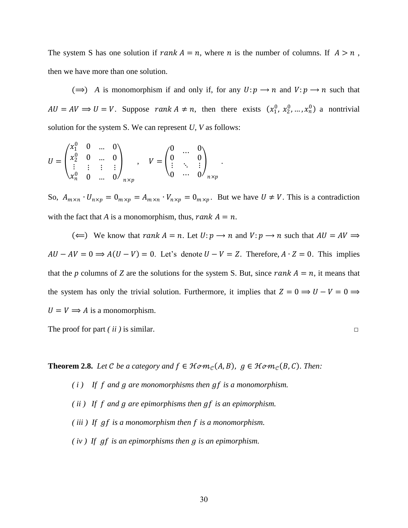The system S has one solution if  $rank A = n$ , where *n* is the number of columns. If  $A > n$ , then we have more than one solution.

 $(\Rightarrow)$  *A* is monomorphism if and only if, for any  $U: p \rightarrow n$  and  $V: p \rightarrow n$  such that  $AU = AV \implies U = V$ . Suppose rank  $A \neq n$ , then there exists  $(x_1^0, x_2^0, ..., x_n^0)$  a nontrivial solution for the system S. We can represent *U, V* as follows:

$$
U = \begin{pmatrix} x_1^0 & 0 & \dots & 0 \\ x_2^0 & 0 & \dots & 0 \\ \vdots & \vdots & \vdots & \vdots \\ x_n^0 & 0 & \dots & 0 \end{pmatrix}_{n \times p}, \quad V = \begin{pmatrix} 0 & \dots & 0 \\ 0 & \dots & 0 \\ \vdots & \ddots & \vdots \\ 0 & \dots & 0 \end{pmatrix}_{n \times p}
$$

So,  $A_{m \times n} \cdot U_{n \times p} = 0_{m \times p} = A_{m \times n} \cdot V_{n \times p} = 0_{m \times p}$ . But we have  $U \neq V$ . This is a contradiction with the fact that *A* is a monomorphism, thus, rank  $A = n$ .

.

( $\Leftarrow$ ) We know that rank  $A = n$ . Let  $U: p \rightarrow n$  and  $V: p \rightarrow n$  such that  $AU = AV \Rightarrow$  $AU - AV = 0 \Rightarrow A(U - V) = 0$ . Let's denote  $U - V = Z$ . Therefore,  $A \cdot Z = 0$ . This implies that the *p* columns of *Z* are the solutions for the system *S*. But, since rank  $A = n$ , it means that the system has only the trivial solution. Furthermore, it implies that  $Z = 0 \implies U - V = 0 \implies$  $U = V \implies A$  is a monomorphism.

The proof for part *( ii )* is similar.  $\Box$ 

**Theorem 2.8.** Let C be a category and  $f \in \mathcal{H}om_{\mathcal{C}}(A, B)$ ,  $g \in \mathcal{H}om_{\mathcal{C}}(B, C)$ . Then:

- *(i)* If **f** and **g** are monomorphisms then **gf** is a monomorphism.
- *(ii)* If *f* and *g* are epimorphisms then *gf* is an epimorphism.
- *( iii ) If is a monomorphism then is a monomorphism.*
- *( iv ) If is an epimorphisms then is an epimorphism.*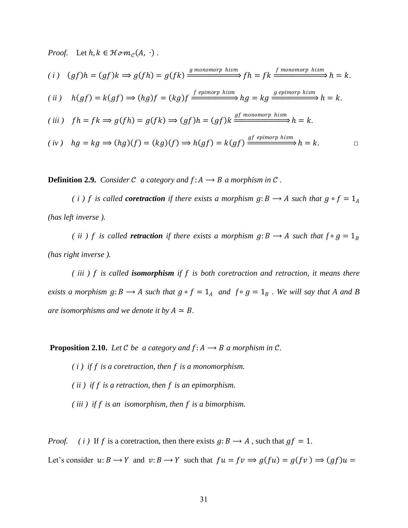*Proof.* Let  $h, k \in \mathcal{H} \circ m_{\mathcal{C}}(A, \cdot)$ .

$$
(i) (gf)h = (gf)k \Rightarrow g(fh) = g(fk) \xrightarrow{g \text{ monomorp hism}} fh = fk \xrightarrow{f \text{ monomorp hism}} h = k.
$$
  

$$
(ii) h(gf) = k(gf) \Rightarrow (hg)f = (kg)f \xrightarrow{f \text{ epimorp hism}} hg = kg \xrightarrow{g \text{ epimorp hism}} h = k.
$$
  

$$
(iii) fh = fk \Rightarrow g(fh) = g(fk) \Rightarrow (gf)h = (gf)k \xrightarrow{gf \text{ monomorp hism}} h = k.
$$
  

$$
(iv) hg = kg \Rightarrow (hg)(f) = (kg)(f) \Rightarrow h(gf) = k(gf) \xrightarrow{gf \text{ epimorp hism}} h = k.
$$

**Definition 2.9.** *Consider C a category and*  $f: A \rightarrow B$  *a morphism in C.* 

*(i)*  $f$  is called *coretraction* if there exists a morphism  $g: B \rightarrow A$  such that  $g \circ f = 1_A$ *(has left inverse ).*

*(ii)*  $f$  *is called retraction if there exists a morphism*  $g: B \rightarrow A$  *such that*  $f \circ g = 1_B$ *(has right inverse ).*

*( iii ) is called isomorphism if is both coretraction and retraction, it means there exists a morphism*  $g: B \to A$  *such that*  $g \circ f = 1_A$  *and*  $f \circ g = 1_B$ . We will say that A and B *are isomorphisms and we denote it by*  $A \simeq B$ .

**Proposition 2.10.** Let C be a category and  $f: A \rightarrow B$  a morphism in C.

*( i ) if is a coretraction, then is a monomorphism. ( ii ) if is a retraction, then is an epimorphism. ( iii ) if is an isomorphism, then is a bimorphism.* 

*Proof.* (*i*) If f is a coretraction, then there exists  $g: B \to A$ , such that  $gf = 1$ . Let's consider  $u: B \to Y$  and  $v: B \to Y$  such that  $fu = fv \Rightarrow g(fu) = g(fv) \Rightarrow (gf)u =$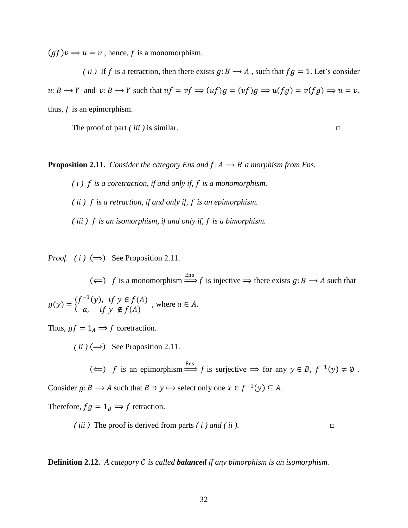$(gf)v \Rightarrow u = v$ , hence, f is a monomorphism.

*(ii)* If *f* is a retraction, then there exists  $g: B \to A$ , such that  $fg = 1$ . Let's consider  $u: B \to Y$  and  $v: B \to Y$  such that  $uf = vf \implies (uf)g = (vf)g \implies u(fg) = v(fg) \implies u = v$ , thus,  $f$  is an epimorphism.

The proof of part *( iii )* is similar.  $\Box$ 

**Proposition 2.11.** *Consider the category Ens and*  $f: A \rightarrow B$  *a morphism from Ens.* 

*( i ) is a coretraction, if and only if, is a monomorphism.*

*( ii ) is a retraction, if and only if, is an epimorphism.*

*( iii ) is an isomorphism, if and only if, is a bimorphism.* 

*Proof.* (*i*)  $(\implies)$  See Proposition 2.11.

 $(\Leftarrow)$  f is a monomorphism  $\xrightarrow{\text{Ens}} f$  is injective  $\Rightarrow$  there exists  $g: B \to A$  such that

$$
g(y) = \begin{cases} f^{-1}(y), & \text{if } y \in f(A) \\ a, & \text{if } y \notin f(A) \end{cases}
$$
, where  $a \in A$ .

Thus,  $gf = 1_A \Rightarrow f$  coretraction.

*( ii )*  $(\implies)$  See Proposition 2.11.

(←) *f* is an epimorphism  $\xrightarrow{\text{Ens}} f$  is surjective  $\Rightarrow$  for any  $y \in B$ ,  $f^{-1}(y) \neq \emptyset$ .

Consider  $g: B \to A$  such that  $B \ni y \mapsto$  select only one  $x \in f^{-1}(y) \subseteq A$ .

Therefore,  $fg = 1_B \implies f$  retraction.

 $(iii)$  The proof is derived from parts  $(i)$  *and*  $(ii)$ .

**Definition 2.12.** *A category is called balanced if any bimorphism is an isomorphism.*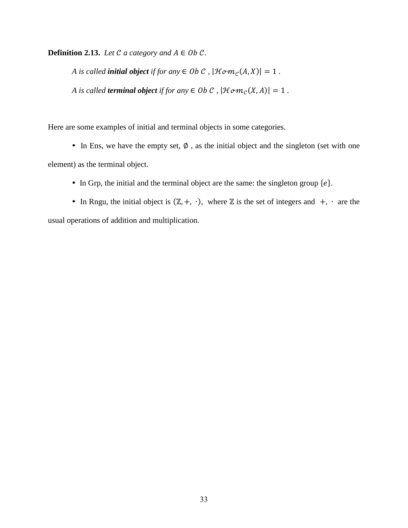**Definition 2.13.** *Let*  $C$  *a category and*  $A \in Ob C$ .

*A* is called **initial object** if for any  $\in$  0b  $\mathcal{C}$ ,  $|\mathcal{H}\sigma m_{\mathcal{C}}(A, X)| = 1$ . *A* is called *terminal object if for any*  $\in$  *Ob*  $\mathcal{C}$  ,  $|\mathcal{H}\sigma m_{\mathcal{C}}(X,A)|=1$ .

Here are some examples of initial and terminal objects in some categories.

In Ens, we have the empty set,  $\emptyset$ , as the initial object and the singleton (set with one element) as the terminal object.

- In Grp, the initial and the terminal object are the same: the singleton group  $\{e\}$ .
- In Rngu, the initial object is  $(\mathbb{Z}, +, \cdot)$ , where  $\mathbb Z$  is the set of integers and  $+$ ,  $\cdot$  are the usual operations of addition and multiplication.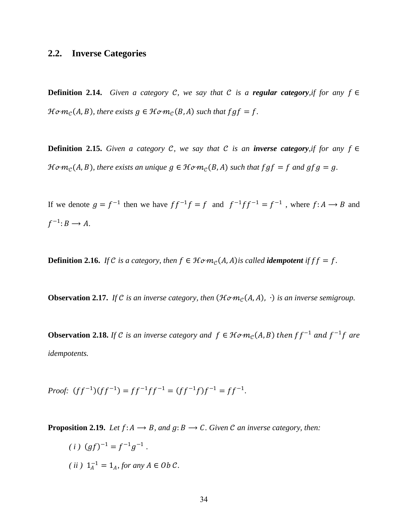# **2.2. Inverse Categories**

**Definition 2.14.** Given a category  $C$ , we say that  $C$  is a **regular category**, if for any  $f \in$  $\mathcal{H} \circ m_{\mathcal{C}}(A, B)$ , there exists  $g \in \mathcal{H} \circ m_{\mathcal{C}}(B, A)$  such that  $fgf = f$ .

**Definition 2.15.** Given a category  $C$ , we say that  $C$  is an *inverse category, if for any*  $f \in$  $\mathcal{H} \sigma m_{\mathcal{C}}(A, B)$ , there exists an unique  $g \in \mathcal{H} \sigma m_{\mathcal{C}}(B, A)$  such that  $f g f = f$  and  $g f g = g$ .

If we denote  $g = f^{-1}$  then we have  $ff^{-1}f = f$  and  $f^{-1}ff^{-1} = f^{-1}$ , where  $f: A \rightarrow B$  and  $f^{-1}: B \longrightarrow A.$ 

**Definition 2.16.** *If*  $C$  *is a category, then*  $f \in H \circ m_C(A, A)$ *is called idempotent if*  $ff = f$ .

**Observation 2.17.** *If C is an inverse category, then*  $(H \circ m_C(A, A), \cdot)$  *is an inverse semigroup.* 

**Observation 2.18.** If C is an inverse category and  $f \in \mathcal{H}$ o $m_c(A, B)$  then  $ff^{-1}$  and  $f^{-1}f$  are *idempotents.*

*Proof:*  $(ff^{-1})(ff^{-1}) = ff^{-1}ff^{-1} = (ff^{-1}f)f^{-1} = ff^{-1}$ .

**Proposition 2.19.** *Let*  $f: A \rightarrow B$ *, and*  $g: B \rightarrow C$ *. Given C an inverse category, then:* 

 $(j)(gf)^{-1} = f^{-1}g^{-1}.$ *( ii )*  $1_A^{-1} = 1_A$ , for any  $A \in Ob \mathcal{C}$ .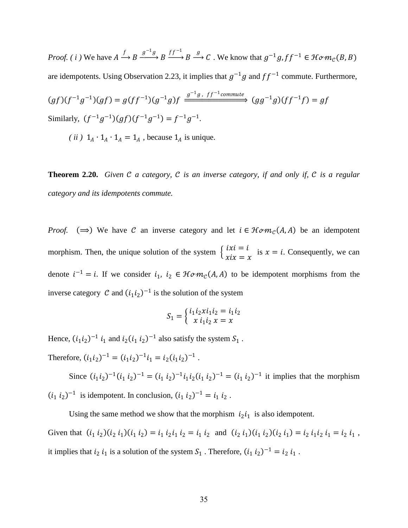*Proof.* (*i*) We have  $A \xrightarrow{f} B \xrightarrow{g^{-1}g}$  $\xrightarrow{g^{-1}g} B \xrightarrow{ff^{-1}}$  $f f^{-1} \to B \stackrel{g}{\longrightarrow} C$ . We know that  $g^{-1}g, ff^{-1} \in \mathcal{H} \circ m_{\mathcal{C}}(B, B)$ are idempotents. Using Observation 2.23, it implies that  $g^{-1}g$  and  $ff^{-1}$  commute. Furthermore,  $(gf)(f^{-1}g^{-1})(gf) = g(ff^{-1})(g^{-1}g)f \xrightarrow{g^{-1}g, ff^{-1}commute} (gg^{-1}g)(ff^{-1}f) = gf$ Similarly,  $(f^{-1}g^{-1})(gf)(f^{-1}g^{-1}) = f^{-1}g^{-1}$ . *( ii )*  $1_A \cdot 1_A \cdot 1_A = 1_A$ , because  $1_A$  is unique.

**Theorem 2.20.** *Given C a category, C is an inverse category, if and only if, C is a regular category and its idempotents commute.*

*Proof.*  $(\implies)$  We have C an inverse category and let  $i \in \mathcal{H}om_{\mathcal{C}}(A, A)$  be an idempotent morphism. Then, the unique solution of the system  $\begin{cases} i x i = i \\ i x j = i \end{cases}$  $\lambda x = i$  is  $x = i$ . Consequently, we can denote  $i^{-1} = i$ . If we consider  $i_1$ ,  $i_2 \in \mathcal{H}om_{\mathcal{C}}(A, A)$  to be idempotent morphisms from the inverse category C and  $(i_1 i_2)^{-1}$  is the solution of the system

$$
S_1 = \begin{cases} i_1 i_2 x i_1 i_2 = i_1 i_2 \\ x i_1 i_2 x = x \end{cases}
$$

Hence,  $(i_1 i_2)^{-1} i_1$  and  $i_2 (i_1 i_2)^{-1}$  also satisfy the system  $S_1$ .

Therefore,  $(i_1 i_2)^{-1} = (i_1 i_2)^{-1} i_1 = i_2 (i_1 i_2)^{-1}$ .

Since  $(i_1 i_2)^{-1} (i_1 i_2)^{-1} = (i_1 i_2)^{-1} i_1 i_2 (i_1 i_2)^{-1} = (i_1 i_2)^{-1}$  it implies that the morphism  $(i_1 i_2)^{-1}$  is idempotent. In conclusion,  $(i_1 i_2)^{-1} = i_1 i_2$ .

Using the same method we show that the morphism  $i_2 i_1$  is also idempotent.

Given that  $(i_1 i_2)(i_2 i_1)(i_1 i_2) = i_1 i_2 i_1 i_2 = i_1 i_2$  and  $(i_2 i_1)(i_1 i_2)(i_2 i_1) = i_2 i_1 i_2 i_1 = i_2 i_1$ , it implies that  $i_2$   $i_1$  is a solution of the system  $S_1$  . Therefore,  $(i_1 i_2)^{-1} = i_2 i_1$ .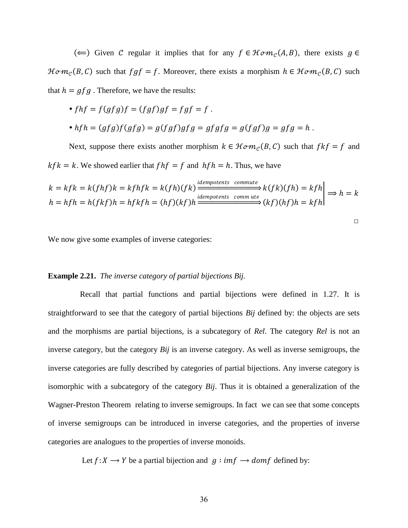( $\Leftarrow$ ) Given C regular it implies that for any  $f \in \mathcal{H}om_{\mathcal{C}}(A, B)$ , there exists  $g \in$  $\mathcal{H}\sigma m_c(B,C)$  such that  $fgf = f$ . Moreover, there exists a morphism  $h \in \mathcal{H}\sigma m_c(B,C)$  such that  $h = gfg$ . Therefore, we have the results:

\n- $$
fhf = f(gfg)f = (fgf)gf = fgf = f
$$
\n- $hfh = (gfg)f(gfg) = g(fgf)gfg = gfgfg = g(fgf)g = gfg = h$
\n

Next, suppose there exists another morphism  $k \in \mathcal{H} \circ m_{\mathcal{C}}(B, C)$  such that  $fkf = f$  and  $kfk = k$ . We showed earlier that  $fhf = f$  and  $hfh = h$ . Thus, we have

 $k = kfk = k(fhf)k = kfhfk = k(fh)(fk) \xrightarrow{idempotents \ commute} k(fk)(fh) = kfh$  $h = hfh = h(fkf)h = hfkfh = (hf)(kf)h \xrightarrow{idempotents \; commute} (kf)(hf)h = kfh$  $\vert \Rightarrow h = k$ 

□

We now give some examples of inverse categories:

#### **Example 2.21.** *The inverse category of partial bijections Bij.*

 Recall that partial functions and partial bijections were defined in 1.27. It is straightforward to see that the category of partial bijections *Bij* defined by: the objects are sets and the morphisms are partial bijections, is a subcategory of *Rel*. The category *Rel* is not an inverse category, but the category *Bij* is an inverse category. As well as inverse semigroups, the inverse categories are fully described by categories of partial bijections. Any inverse category is isomorphic with a subcategory of the category *Bij*. Thus it is obtained a generalization of the Wagner-Preston Theorem relating to inverse semigroups. In fact we can see that some concepts of inverse semigroups can be introduced in inverse categories, and the properties of inverse categories are analogues to the properties of inverse monoids.

Let  $f: X \longrightarrow Y$  be a partial bijection and  $g: imf \longrightarrow domf$  defined by: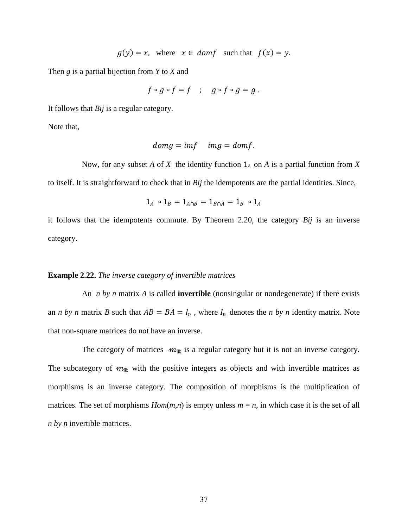$$
g(y) = x
$$
, where  $x \in dom f$  such that  $f(x) = y$ .

Then *g* is a partial bijection from *Y* to *X* and

$$
f \circ g \circ f = f \quad ; \quad g \circ f \circ g = g \; .
$$

It follows that *Bij* is a regular category.

Note that,

$$
domg = imf \quad img = domf.
$$

Now, for any subset *A* of *X* the identity function  $1_A$  on *A* is a partial function from *X* to itself. It is straightforward to check that in *Bij* the idempotents are the partial identities. Since,

$$
1_A \circ 1_B = 1_{A \cap B} = 1_{B \cap A} = 1_B \circ 1_A
$$

it follows that the idempotents commute. By Theorem 2.20, the category *Bij* is an inverse category.

#### **Example 2.22.** *The inverse category of invertible matrices*

 An *n by n* matrix *A* is called **invertible** (nonsingular or nondegenerate) if there exists an *n by n* matrix *B* such that  $AB = BA = I_n$ , where  $I_n$  denotes the *n by n* identity matrix. Note that non-square matrices do not have an inverse.

The category of matrices  $m_{\mathbb{R}}$  is a regular category but it is not an inverse category. The subcategory of  $m_{\mathbb{R}}$  with the positive integers as objects and with invertible matrices as morphisms is an inverse category. The composition of morphisms is the multiplication of matrices. The set of morphisms  $Hom(m, n)$  is empty unless  $m = n$ , in which case it is the set of all *n by n* invertible matrices.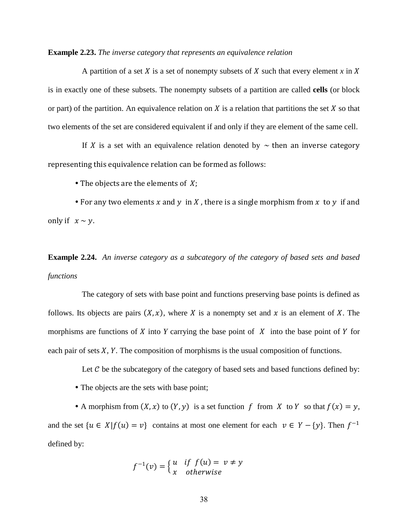#### **Example 2.23.** *The inverse category that represents an equivalence relation*

A partition of a set  $X$  is a set of nonempty subsets of  $X$  such that every element  $x$  in  $X$ is in exactly one of these subsets. The nonempty subsets of a partition are called **cells** (or block or part) of the partition. An equivalence relation on  $X$  is a relation that partitions the set  $X$  so that two elements of the set are considered equivalent if and only if they are element of the same cell.

If X is a set with an equivalence relation denoted by  $\sim$  then an inverse category representing this equivalence relation can be formed as follows:

• The objects are the elements of  $X$ ;

• For any two elements x and y in X, there is a single morphism from x to y if and only if  $x \sim y$ .

**Example 2.24.** *An inverse category as a subcategory of the category of based sets and based functions*

 The category of sets with base point and functions preserving base points is defined as follows. Its objects are pairs  $(X, x)$ , where X is a nonempty set and x is an element of X. The morphisms are functions of  $X$  into  $Y$  carrying the base point of  $X$  into the base point of  $Y$  for each pair of sets *X*, *Y*. The composition of morphisms is the usual composition of functions.

Let  $\mathcal C$  be the subcategory of the category of based sets and based functions defined by:

The objects are the sets with base point;

A morphism from  $(X, x)$  to  $(Y, y)$  is a set function f from X to Y so that  $f(x) = y$ , and the set  $\{u \in X | f(u) = v\}$  contains at most one element for each  $v \in Y - \{y\}$ . Then  $f^{-1}$ defined by:

$$
f^{-1}(v) = \begin{cases} u & \text{if } f(u) = v \neq y \\ x & \text{otherwise} \end{cases}
$$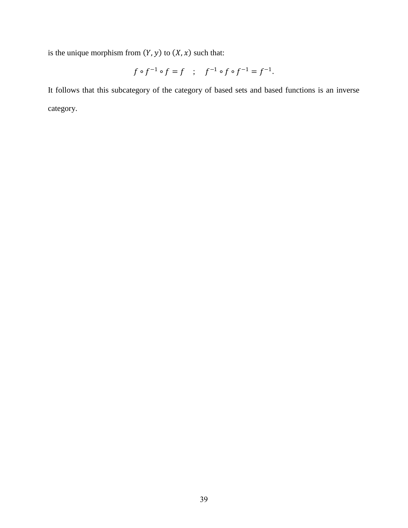is the unique morphism from  $(Y, y)$  to  $(X, x)$  such that:

$$
f \circ f^{-1} \circ f = f
$$
 ;  $f^{-1} \circ f \circ f^{-1} = f^{-1}$ .

It follows that this subcategory of the category of based sets and based functions is an inverse category.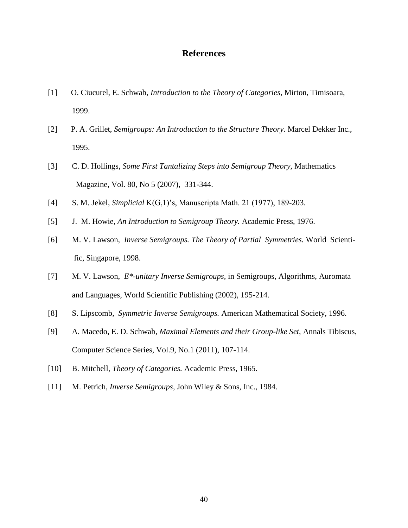# **References**

- <span id="page-48-0"></span>[1] O. Ciucurel, E. Schwab, *Introduction to the Theory of Categories*, Mirton, Timisoara, 1999.
- [2] P. A. Grillet, *Semigroups: An Introduction to the Structure Theory.* Marcel Dekker Inc., 1995.
- [3] C. D. Hollings, *Some First Tantalizing Steps into Semigroup Theory,* Mathematics Magazine, Vol. 80, No 5 (2007), 331-344.
- [4] S. M. Jekel, *Simplicial* K(G,1)'s, Manuscripta Math. 21 (1977), 189-203.
- [5] J. M. Howie, *An Introduction to Semigroup Theory.* Academic Press, 1976.
- [6] M. V. Lawson, *Inverse Semigroups. The Theory of Partial Symmetries.* World Scienti fic, Singapore, 1998.
- [7] M. V. Lawson, *E\*-unitary Inverse Semigroups,* in Semigroups, Algorithms, Auromata and Languages, World Scientific Publishing (2002), 195-214.
- [8] S. Lipscomb, *Symmetric Inverse Semigroups.* American Mathematical Society, 1996.
- [9] A. Macedo, E. D. Schwab, *Maximal Elements and their Group-like Set*, Annals Tibiscus, Computer Science Series, Vol.9, No.1 (2011), 107-114.
- [10] B. Mitchell, *Theory of Categories.* Academic Press, 1965.
- [11] M. Petrich, *Inverse Semigroups,* John Wiley & Sons, Inc., 1984.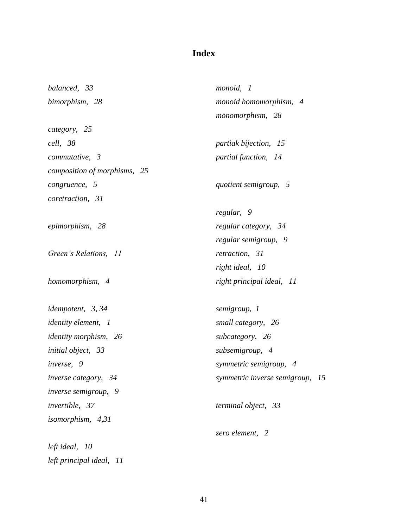# **Index**

| balanced, 33                  | monoid, 1                          |  |
|-------------------------------|------------------------------------|--|
| bimorphism, 28                | monoid homomorphism, 4             |  |
|                               | monomorphism, 28                   |  |
| category, 25                  |                                    |  |
| cell, 38                      | partiak bijection, 15              |  |
| commutative, 3                | partial function, 14               |  |
| composition of morphisms, 25  |                                    |  |
| congruence, 5                 | quotient semigroup, 5              |  |
| coretraction, 31              |                                    |  |
|                               | regular, 9                         |  |
| epimorphism, 28               | regular category, 34               |  |
|                               | regular semigroup, 9               |  |
| Green's Relations, 11         | retraction, 31                     |  |
|                               | right ideal, 10                    |  |
| homomorphism, 4               | right principal ideal, 11          |  |
| idempotent, 3, 34             | semigroup, 1                       |  |
| <i>identity element, 1</i>    | small category, 26                 |  |
| <i>identity morphism</i> , 26 | subcategory, 26                    |  |
| initial object, 33            | subsemigroup, 4                    |  |
| <i>inverse</i> , 9            | symmetric semigroup, 4             |  |
| inverse category, 34          | symmetric inverse semigroup,<br>15 |  |
| inverse semigroup, 9          |                                    |  |
| invertible, 37                | terminal object, 33                |  |
| isomorphism, 4,31             |                                    |  |
|                               | zero element, 2                    |  |
| left ideal, 10                |                                    |  |
| left principal ideal, 11      |                                    |  |